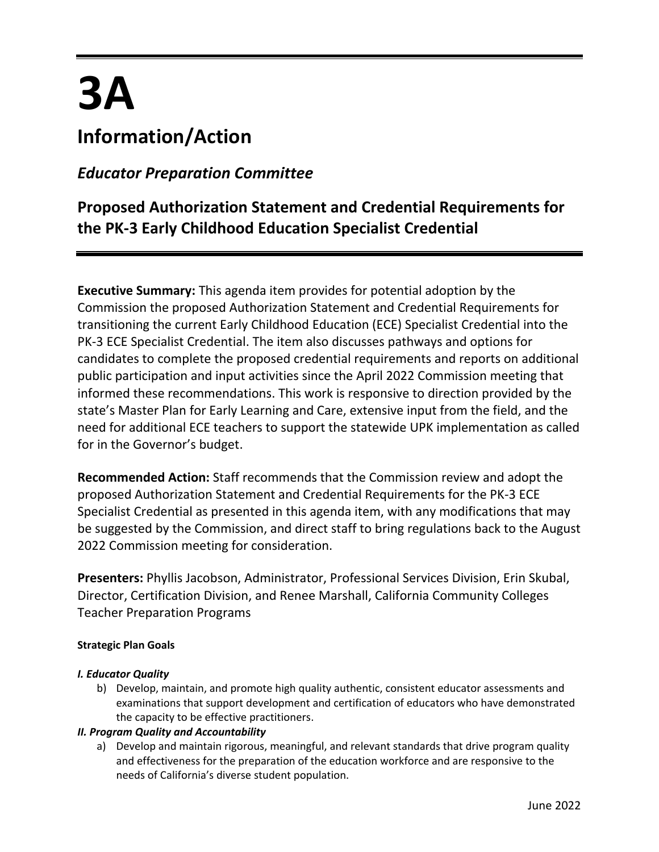# **3A Information/Action**

# *Educator Preparation Committee*

# **Proposed Authorization Statement and Credential Requirements for the PK-3 Early Childhood Education Specialist Credential**

**Executive Summary:** This agenda item provides for potential adoption by the Commission the proposed Authorization Statement and Credential Requirements for transitioning the current Early Childhood Education (ECE) Specialist Credential into the PK-3 ECE Specialist Credential. The item also discusses pathways and options for candidates to complete the proposed credential requirements and reports on additional public participation and input activities since the April 2022 Commission meeting that informed these recommendations. This work is responsive to direction provided by the state's Master Plan for Early Learning and Care, extensive input from the field, and the need for additional ECE teachers to support the statewide UPK implementation as called for in the Governor's budget.

**Recommended Action:** Staff recommends that the Commission review and adopt the proposed Authorization Statement and Credential Requirements for the PK-3 ECE Specialist Credential as presented in this agenda item, with any modifications that may be suggested by the Commission, and direct staff to bring regulations back to the August 2022 Commission meeting for consideration.

**Presenters:** Phyllis Jacobson, Administrator, Professional Services Division, Erin Skubal, Director, Certification Division, and Renee Marshall, California Community Colleges Teacher Preparation Programs

### **Strategic Plan Goals**

### *I. Educator Quality*

b) Develop, maintain, and promote high quality authentic, consistent educator assessments and examinations that support development and certification of educators who have demonstrated the capacity to be effective practitioners.

### *II. Program Quality and Accountability*

a) Develop and maintain rigorous, meaningful, and relevant standards that drive program quality and effectiveness for the preparation of the education workforce and are responsive to the needs of California's diverse student population.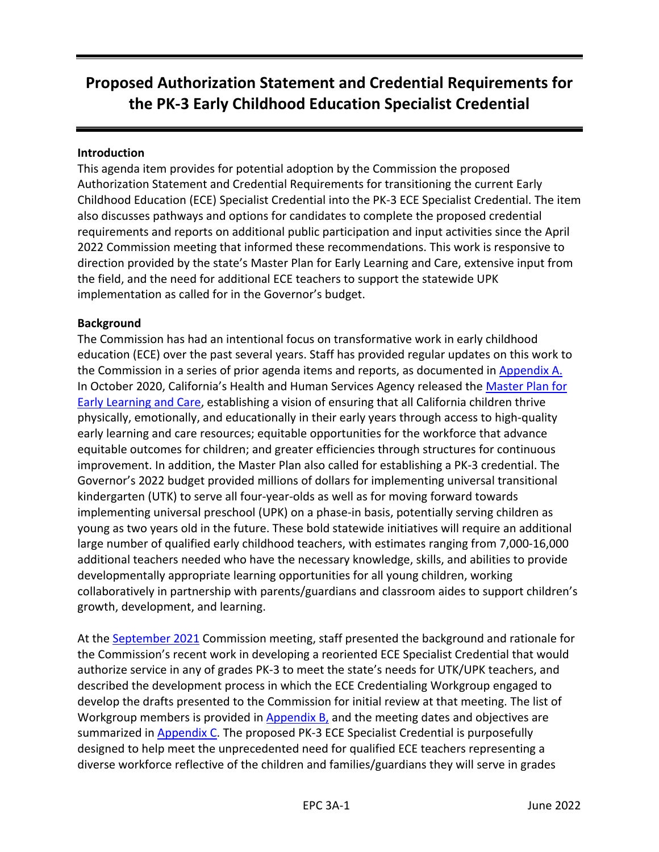# **Proposed Authorization Statement and Credential Requirements for the PK-3 Early Childhood Education Specialist Credential**

### **Introduction**

This agenda item provides for potential adoption by the Commission the proposed Authorization Statement and Credential Requirements for transitioning the current Early Childhood Education (ECE) Specialist Credential into the PK-3 ECE Specialist Credential. The item also discusses pathways and options for candidates to complete the proposed credential requirements and reports on additional public participation and input activities since the April 2022 Commission meeting that informed these recommendations. This work is responsive to direction provided by the state's Master Plan for Early Learning and Care, extensive input from the field, and the need for additional ECE teachers to support the statewide UPK implementation as called for in the Governor's budget.

### **Background**

The Commission has had an intentional focus on transformative work in early childhood education (ECE) over the past several years. Staff has provided regular updates on this work to the Commission in a series of prior agenda items and reports, as documented in [Appendix A.](#page-22-0) In October 2020, California's Health and Human Services Agency released the Master Plan for [Early Learning and Care,](https://www.chhs.ca.gov/home/master-plan-for-early-learning-and-care/) establishing a vision of ensuring that all California children thrive physically, emotionally, and educationally in their early years through access to high-quality early learning and care resources; equitable opportunities for the workforce that advance equitable outcomes for children; and greater efficiencies through structures for continuous improvement. In addition, the Master Plan also called for establishing a PK-3 credential. The Governor's 2022 budget provided millions of dollars for implementing universal transitional kindergarten (UTK) to serve all four-year-olds as well as for moving forward towards implementing universal preschool (UPK) on a phase-in basis, potentially serving children as young as two years old in the future. These bold statewide initiatives will require an additional large number of qualified early childhood teachers, with estimates ranging from 7,000-16,000 additional teachers needed who have the necessary knowledge, skills, and abilities to provide developmentally appropriate learning opportunities for all young children, working collaboratively in partnership with parents/guardians and classroom aides to support children's growth, development, and learning.

At the [September 2021](https://www.ctc.ca.gov/docs/default-source/commission/agendas/2021-09/2021-09-2a.pdf?sfvrsn=14b325b1_2) Commission meeting, staff presented the background and rationale for the Commission's recent work in developing a reoriented ECE Specialist Credential that would authorize service in any of grades PK-3 to meet the state's needs for UTK/UPK teachers, and described the development process in which the ECE Credentialing Workgroup engaged to develop the drafts presented to the Commission for initial review at that meeting. The list of Workgroup members is provided in [Appendix B,](#page-23-0) and the meeting dates and objectives are summarized in [Appendix C.](#page-25-0) The proposed PK-3 ECE Specialist Credential is purposefully designed to help meet the unprecedented need for qualified ECE teachers representing a diverse workforce reflective of the children and families/guardians they will serve in grades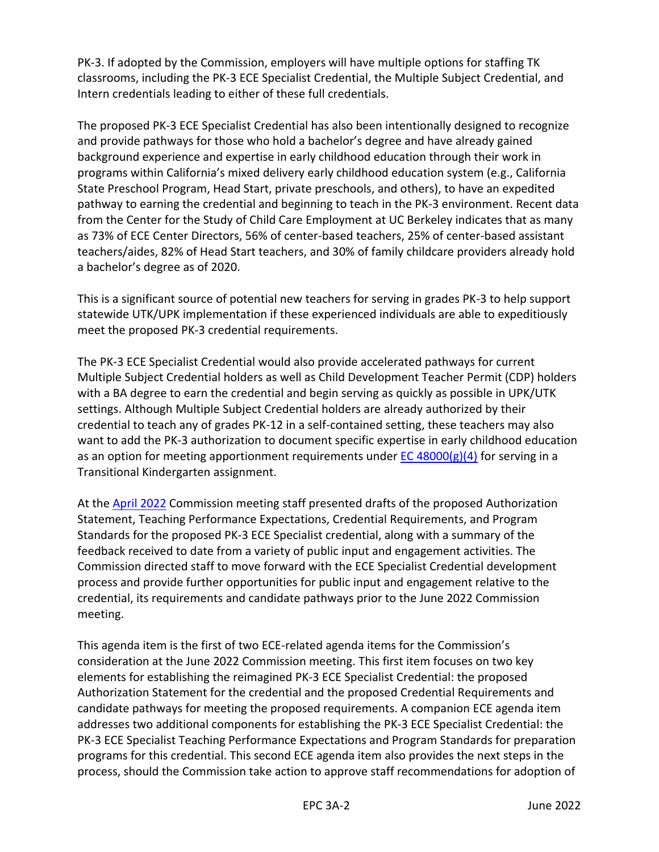PK-3. If adopted by the Commission, employers will have multiple options for staffing TK classrooms, including the PK-3 ECE Specialist Credential, the Multiple Subject Credential, and Intern credentials leading to either of these full credentials.

The proposed PK-3 ECE Specialist Credential has also been intentionally designed to recognize and provide pathways for those who hold a bachelor's degree and have already gained background experience and expertise in early childhood education through their work in programs within California's mixed delivery early childhood education system (e.g., California State Preschool Program, Head Start, private preschools, and others), to have an expedited pathway to earning the credential and beginning to teach in the PK-3 environment. Recent data from the Center for the Study of Child Care Employment at UC Berkeley indicates that as many as 73% of ECE Center Directors, 56% of center-based teachers, 25% of center-based assistant teachers/aides, 82% of Head Start teachers, and 30% of family childcare providers already hold a bachelor's degree as of 2020.

This is a significant source of potential new teachers for serving in grades PK-3 to help support statewide UTK/UPK implementation if these experienced individuals are able to expeditiously meet the proposed PK-3 credential requirements.

The PK-3 ECE Specialist Credential would also provide accelerated pathways for current Multiple Subject Credential holders as well as Child Development Teacher Permit (CDP) holders with a BA degree to earn the credential and begin serving as quickly as possible in UPK/UTK settings. Although Multiple Subject Credential holders are already authorized by their credential to teach any of grades PK-12 in a self-contained setting, these teachers may also want to add the PK-3 authorization to document specific expertise in early childhood education as an option for meeting apportionment requirements under  $EC 48000(g)(4)$  for serving in a Transitional Kindergarten assignment.

At the [April 2022](https://www.ctc.ca.gov/docs/default-source/commission/agendas/2022-04/2022-04-3h.pdf?sfvrsn=5afb27b1_3) Commission meeting staff presented drafts of the proposed Authorization Statement, Teaching Performance Expectations, Credential Requirements, and Program Standards for the proposed PK-3 ECE Specialist credential, along with a summary of the feedback received to date from a variety of public input and engagement activities. The Commission directed staff to move forward with the ECE Specialist Credential development process and provide further opportunities for public input and engagement relative to the credential, its requirements and candidate pathways prior to the June 2022 Commission meeting.

This agenda item is the first of two ECE-related agenda items for the Commission's consideration at the June 2022 Commission meeting. This first item focuses on two key elements for establishing the reimagined PK-3 ECE Specialist Credential: the proposed Authorization Statement for the credential and the proposed Credential Requirements and candidate pathways for meeting the proposed requirements. A companion ECE agenda item addresses two additional components for establishing the PK-3 ECE Specialist Credential: the PK-3 ECE Specialist Teaching Performance Expectations and Program Standards for preparation programs for this credential. This second ECE agenda item also provides the next steps in the process, should the Commission take action to approve staff recommendations for adoption of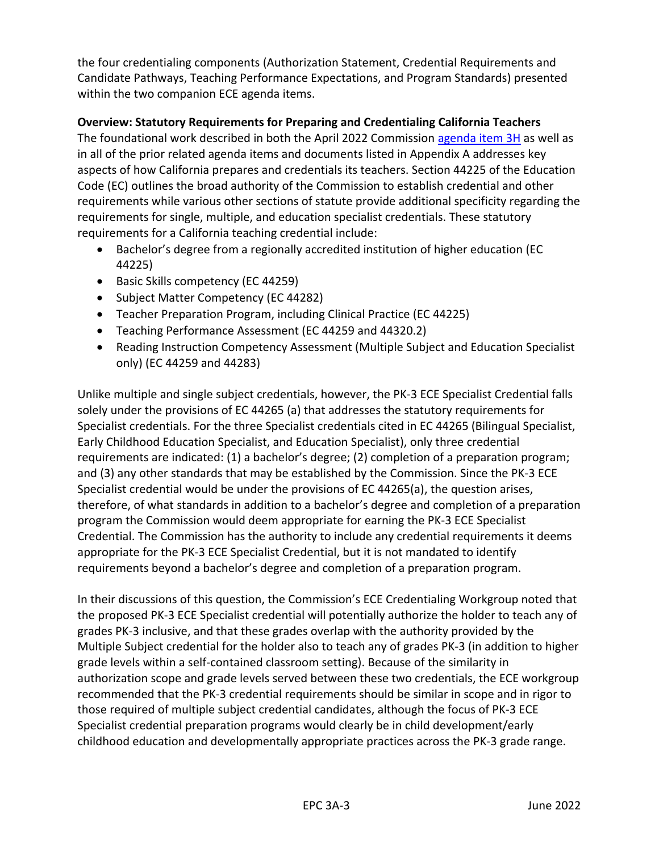the four credentialing components (Authorization Statement, Credential Requirements and Candidate Pathways, Teaching Performance Expectations, and Program Standards) presented within the two companion ECE agenda items.

### **Overview: Statutory Requirements for Preparing and Credentialing California Teachers**

The foundational work described in both the April 2022 Commission [agenda item](https://www.ctc.ca.gov/docs/default-source/commission/agendas/2022-04/2022-04-3h.pdf?sfvrsn=5afb27b1_3) 3H as well as in all of the prior related agenda items and documents listed in Appendix A addresses key aspects of how California prepares and credentials its teachers. Section 44225 of the Education Code (EC) outlines the broad authority of the Commission to establish credential and other requirements while various other sections of statute provide additional specificity regarding the requirements for single, multiple, and education specialist credentials. These statutory requirements for a California teaching credential include:

- Bachelor's degree from a regionally accredited institution of higher education (EC 44225)
- Basic Skills competency (EC 44259)
- Subject Matter Competency (EC 44282)
- Teacher Preparation Program, including Clinical Practice (EC 44225)
- Teaching Performance Assessment (EC 44259 and 44320.2)
- Reading Instruction Competency Assessment (Multiple Subject and Education Specialist only) (EC 44259 and 44283)

Unlike multiple and single subject credentials, however, the PK-3 ECE Specialist Credential falls solely under the provisions of EC 44265 (a) that addresses the statutory requirements for Specialist credentials. For the three Specialist credentials cited in EC 44265 (Bilingual Specialist, Early Childhood Education Specialist, and Education Specialist), only three credential requirements are indicated: (1) a bachelor's degree; (2) completion of a preparation program; and (3) any other standards that may be established by the Commission. Since the PK-3 ECE Specialist credential would be under the provisions of EC 44265(a), the question arises, therefore, of what standards in addition to a bachelor's degree and completion of a preparation program the Commission would deem appropriate for earning the PK-3 ECE Specialist Credential. The Commission has the authority to include any credential requirements it deems appropriate for the PK-3 ECE Specialist Credential, but it is not mandated to identify requirements beyond a bachelor's degree and completion of a preparation program.

In their discussions of this question, the Commission's ECE Credentialing Workgroup noted that the proposed PK-3 ECE Specialist credential will potentially authorize the holder to teach any of grades PK-3 inclusive, and that these grades overlap with the authority provided by the Multiple Subject credential for the holder also to teach any of grades PK-3 (in addition to higher grade levels within a self-contained classroom setting). Because of the similarity in authorization scope and grade levels served between these two credentials, the ECE workgroup recommended that the PK-3 credential requirements should be similar in scope and in rigor to those required of multiple subject credential candidates, although the focus of PK-3 ECE Specialist credential preparation programs would clearly be in child development/early childhood education and developmentally appropriate practices across the PK-3 grade range.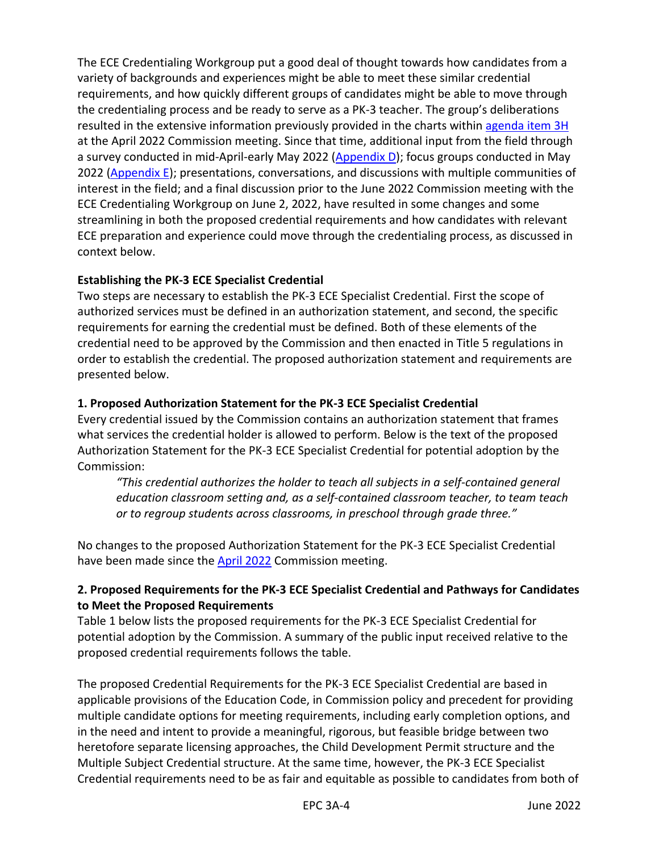The ECE Credentialing Workgroup put a good deal of thought towards how candidates from a variety of backgrounds and experiences might be able to meet these similar credential requirements, and how quickly different groups of candidates might be able to move through the credentialing process and be ready to serve as a PK-3 teacher. The group's deliberations resulted in the extensive information previously provided in the charts within [agenda item 3H](https://www.ctc.ca.gov/docs/default-source/commission/agendas/2022-04/2022-04-3h.pdf?sfvrsn=5afb27b1_3) at the April 2022 Commission meeting. Since that time, additional input from the field through a survey conducted in mid-April-early May 2022 [\(Appendix D\)](#page-27-0); focus groups conducted in May 2022 [\(Appendix E\)](#page-43-0); presentations, conversations, and discussions with multiple communities of interest in the field; and a final discussion prior to the June 2022 Commission meeting with the ECE Credentialing Workgroup on June 2, 2022, have resulted in some changes and some streamlining in both the proposed credential requirements and how candidates with relevant ECE preparation and experience could move through the credentialing process, as discussed in context below.

### **Establishing the PK-3 ECE Specialist Credential**

Two steps are necessary to establish the PK-3 ECE Specialist Credential. First the scope of authorized services must be defined in an authorization statement, and second, the specific requirements for earning the credential must be defined. Both of these elements of the credential need to be approved by the Commission and then enacted in Title 5 regulations in order to establish the credential. The proposed authorization statement and requirements are presented below.

### **1. Proposed Authorization Statement for the PK-3 ECE Specialist Credential**

Every credential issued by the Commission contains an authorization statement that frames what services the credential holder is allowed to perform. Below is the text of the proposed Authorization Statement for the PK-3 ECE Specialist Credential for potential adoption by the Commission:

*"This credential authorizes the holder to teach all subjects in a self-contained general education classroom setting and, as a self-contained classroom teacher, to team teach or to regroup students across classrooms, in preschool through grade three."* 

No changes to the proposed Authorization Statement for the PK-3 ECE Specialist Credential have been made since the [April 2022](https://www.ctc.ca.gov/docs/default-source/commission/agendas/2022-04/2022-04-3h.pdf?sfvrsn=5afb27b1_3) Commission meeting.

### **2. Proposed Requirements for the PK-3 ECE Specialist Credential and Pathways for Candidates to Meet the Proposed Requirements**

Table 1 below lists the proposed requirements for the PK-3 ECE Specialist Credential for potential adoption by the Commission. A summary of the public input received relative to the proposed credential requirements follows the table.

The proposed Credential Requirements for the PK-3 ECE Specialist Credential are based in applicable provisions of the Education Code, in Commission policy and precedent for providing multiple candidate options for meeting requirements, including early completion options, and in the need and intent to provide a meaningful, rigorous, but feasible bridge between two heretofore separate licensing approaches, the Child Development Permit structure and the Multiple Subject Credential structure. At the same time, however, the PK-3 ECE Specialist Credential requirements need to be as fair and equitable as possible to candidates from both of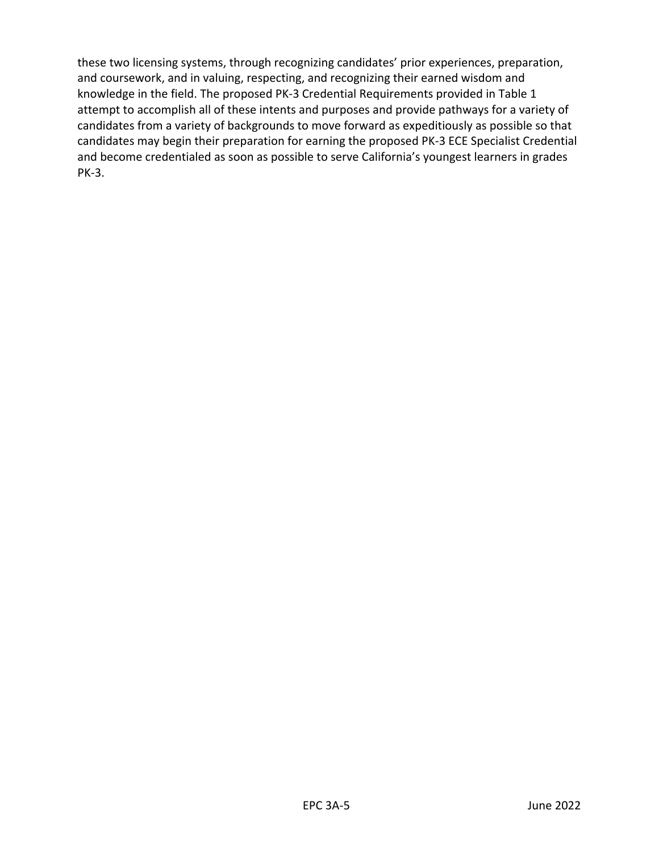these two licensing systems, through recognizing candidates' prior experiences, preparation, and coursework, and in valuing, respecting, and recognizing their earned wisdom and knowledge in the field. The proposed PK-3 Credential Requirements provided in Table 1 attempt to accomplish all of these intents and purposes and provide pathways for a variety of candidates from a variety of backgrounds to move forward as expeditiously as possible so that candidates may begin their preparation for earning the proposed PK-3 ECE Specialist Credential and become credentialed as soon as possible to serve California's youngest learners in grades PK-3.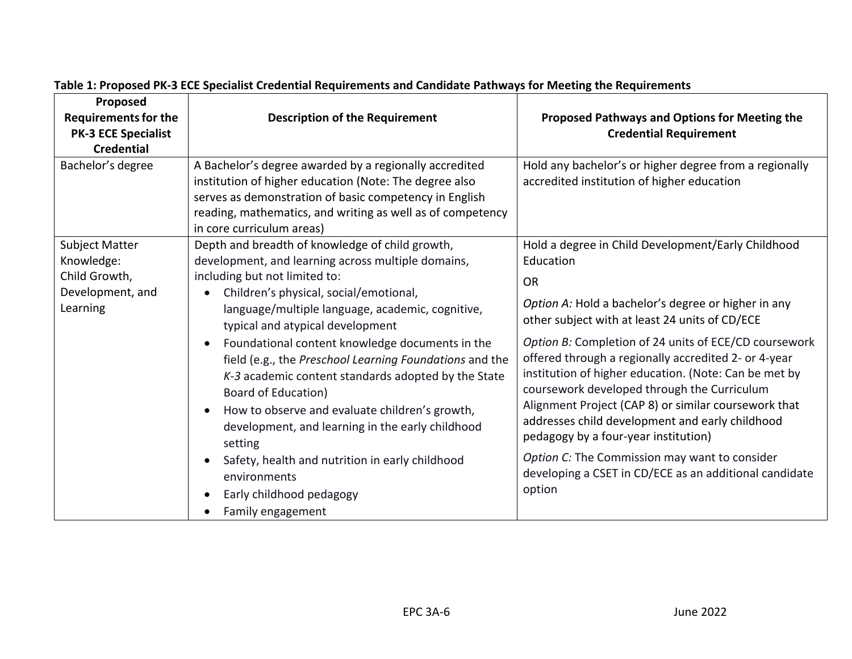| Proposed                                                                      |                                                                                                                                                                                                                                                                                                                                                                                                                                                                                                                                                                                                                                                                                             |                                                                                                                                                                                                                                                                                                                                                                                                                                                                                                                                                                                                                                                                                        |
|-------------------------------------------------------------------------------|---------------------------------------------------------------------------------------------------------------------------------------------------------------------------------------------------------------------------------------------------------------------------------------------------------------------------------------------------------------------------------------------------------------------------------------------------------------------------------------------------------------------------------------------------------------------------------------------------------------------------------------------------------------------------------------------|----------------------------------------------------------------------------------------------------------------------------------------------------------------------------------------------------------------------------------------------------------------------------------------------------------------------------------------------------------------------------------------------------------------------------------------------------------------------------------------------------------------------------------------------------------------------------------------------------------------------------------------------------------------------------------------|
| <b>Requirements for the</b><br><b>PK-3 ECE Specialist</b>                     | <b>Description of the Requirement</b>                                                                                                                                                                                                                                                                                                                                                                                                                                                                                                                                                                                                                                                       | Proposed Pathways and Options for Meeting the<br><b>Credential Requirement</b>                                                                                                                                                                                                                                                                                                                                                                                                                                                                                                                                                                                                         |
| <b>Credential</b>                                                             |                                                                                                                                                                                                                                                                                                                                                                                                                                                                                                                                                                                                                                                                                             |                                                                                                                                                                                                                                                                                                                                                                                                                                                                                                                                                                                                                                                                                        |
| Bachelor's degree                                                             | A Bachelor's degree awarded by a regionally accredited<br>institution of higher education (Note: The degree also<br>serves as demonstration of basic competency in English<br>reading, mathematics, and writing as well as of competency<br>in core curriculum areas)                                                                                                                                                                                                                                                                                                                                                                                                                       | Hold any bachelor's or higher degree from a regionally<br>accredited institution of higher education                                                                                                                                                                                                                                                                                                                                                                                                                                                                                                                                                                                   |
| Subject Matter<br>Knowledge:<br>Child Growth,<br>Development, and<br>Learning | Depth and breadth of knowledge of child growth,<br>development, and learning across multiple domains,<br>including but not limited to:<br>Children's physical, social/emotional,<br>language/multiple language, academic, cognitive,<br>typical and atypical development<br>Foundational content knowledge documents in the<br>field (e.g., the Preschool Learning Foundations and the<br>K-3 academic content standards adopted by the State<br><b>Board of Education)</b><br>How to observe and evaluate children's growth,<br>development, and learning in the early childhood<br>setting<br>Safety, health and nutrition in early childhood<br>environments<br>Early childhood pedagogy | Hold a degree in Child Development/Early Childhood<br>Education<br><b>OR</b><br>Option A: Hold a bachelor's degree or higher in any<br>other subject with at least 24 units of CD/ECE<br>Option B: Completion of 24 units of ECE/CD coursework<br>offered through a regionally accredited 2- or 4-year<br>institution of higher education. (Note: Can be met by<br>coursework developed through the Curriculum<br>Alignment Project (CAP 8) or similar coursework that<br>addresses child development and early childhood<br>pedagogy by a four-year institution)<br>Option C: The Commission may want to consider<br>developing a CSET in CD/ECE as an additional candidate<br>option |
|                                                                               | Family engagement                                                                                                                                                                                                                                                                                                                                                                                                                                                                                                                                                                                                                                                                           |                                                                                                                                                                                                                                                                                                                                                                                                                                                                                                                                                                                                                                                                                        |

# **Table 1: Proposed PK-3 ECE Specialist Credential Requirements and Candidate Pathways for Meeting the Requirements**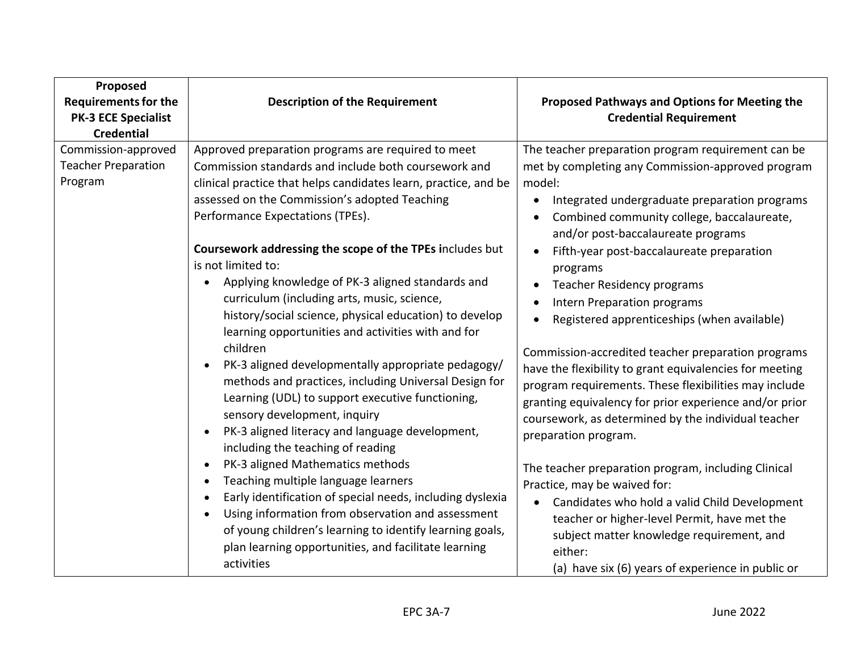| Proposed<br><b>Requirements for the</b><br><b>PK-3 ECE Specialist</b><br><b>Credential</b> | <b>Description of the Requirement</b>                                                                                                                                                                                                                                                                                                                                                                                                                                                                                                                                                                                                                                                                                                                                                                                                                                                                                                                                                                                                                                                                                                                                                           | Proposed Pathways and Options for Meeting the<br><b>Credential Requirement</b>                                                                                                                                                                                                                                                                                                                                                                                                                                                                                                                                                                                                                                                                                                                                                                                                                                                                                                                        |
|--------------------------------------------------------------------------------------------|-------------------------------------------------------------------------------------------------------------------------------------------------------------------------------------------------------------------------------------------------------------------------------------------------------------------------------------------------------------------------------------------------------------------------------------------------------------------------------------------------------------------------------------------------------------------------------------------------------------------------------------------------------------------------------------------------------------------------------------------------------------------------------------------------------------------------------------------------------------------------------------------------------------------------------------------------------------------------------------------------------------------------------------------------------------------------------------------------------------------------------------------------------------------------------------------------|-------------------------------------------------------------------------------------------------------------------------------------------------------------------------------------------------------------------------------------------------------------------------------------------------------------------------------------------------------------------------------------------------------------------------------------------------------------------------------------------------------------------------------------------------------------------------------------------------------------------------------------------------------------------------------------------------------------------------------------------------------------------------------------------------------------------------------------------------------------------------------------------------------------------------------------------------------------------------------------------------------|
| Commission-approved<br><b>Teacher Preparation</b><br>Program                               | Approved preparation programs are required to meet<br>Commission standards and include both coursework and<br>clinical practice that helps candidates learn, practice, and be<br>assessed on the Commission's adopted Teaching<br>Performance Expectations (TPEs).<br>Coursework addressing the scope of the TPEs includes but<br>is not limited to:<br>Applying knowledge of PK-3 aligned standards and<br>curriculum (including arts, music, science,<br>history/social science, physical education) to develop<br>learning opportunities and activities with and for<br>children<br>PK-3 aligned developmentally appropriate pedagogy/<br>methods and practices, including Universal Design for<br>Learning (UDL) to support executive functioning,<br>sensory development, inquiry<br>PK-3 aligned literacy and language development,<br>including the teaching of reading<br>PK-3 aligned Mathematics methods<br>Teaching multiple language learners<br>Early identification of special needs, including dyslexia<br>Using information from observation and assessment<br>of young children's learning to identify learning goals,<br>plan learning opportunities, and facilitate learning | The teacher preparation program requirement can be<br>met by completing any Commission-approved program<br>model:<br>Integrated undergraduate preparation programs<br>Combined community college, baccalaureate,<br>and/or post-baccalaureate programs<br>Fifth-year post-baccalaureate preparation<br>programs<br>Teacher Residency programs<br><b>Intern Preparation programs</b><br>Registered apprenticeships (when available)<br>Commission-accredited teacher preparation programs<br>have the flexibility to grant equivalencies for meeting<br>program requirements. These flexibilities may include<br>granting equivalency for prior experience and/or prior<br>coursework, as determined by the individual teacher<br>preparation program.<br>The teacher preparation program, including Clinical<br>Practice, may be waived for:<br>Candidates who hold a valid Child Development<br>teacher or higher-level Permit, have met the<br>subject matter knowledge requirement, and<br>either: |
|                                                                                            | activities                                                                                                                                                                                                                                                                                                                                                                                                                                                                                                                                                                                                                                                                                                                                                                                                                                                                                                                                                                                                                                                                                                                                                                                      | (a) have six (6) years of experience in public or                                                                                                                                                                                                                                                                                                                                                                                                                                                                                                                                                                                                                                                                                                                                                                                                                                                                                                                                                     |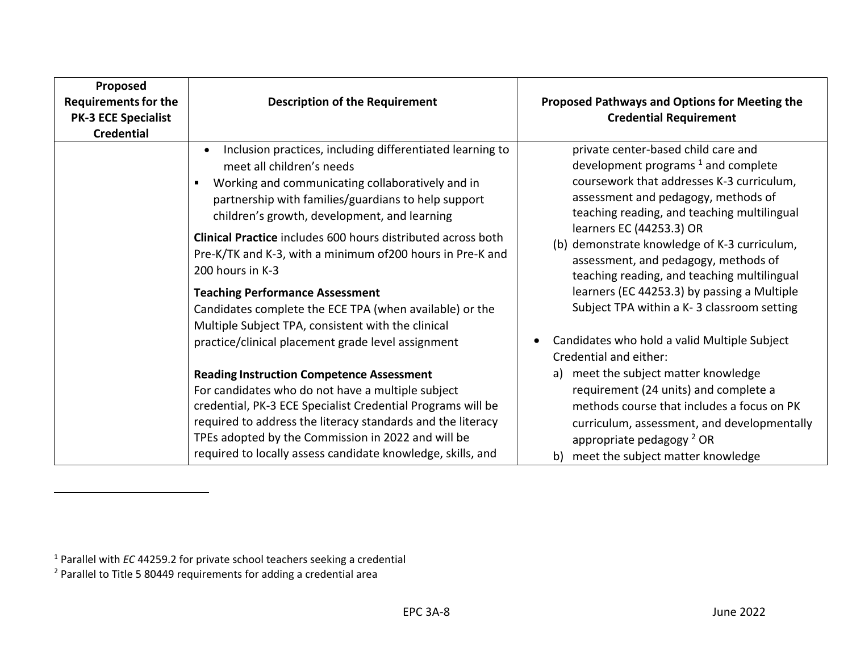| Proposed<br><b>Requirements for the</b><br><b>PK-3 ECE Specialist</b><br><b>Credential</b> | <b>Description of the Requirement</b>                                                                                                                                                                                                                                                                                                                                                               | <b>Proposed Pathways and Options for Meeting the</b><br><b>Credential Requirement</b>                                                                                                                                                                                                                                                                                              |
|--------------------------------------------------------------------------------------------|-----------------------------------------------------------------------------------------------------------------------------------------------------------------------------------------------------------------------------------------------------------------------------------------------------------------------------------------------------------------------------------------------------|------------------------------------------------------------------------------------------------------------------------------------------------------------------------------------------------------------------------------------------------------------------------------------------------------------------------------------------------------------------------------------|
|                                                                                            | Inclusion practices, including differentiated learning to<br>meet all children's needs<br>Working and communicating collaboratively and in<br>partnership with families/guardians to help support<br>children's growth, development, and learning<br>Clinical Practice includes 600 hours distributed across both<br>Pre-K/TK and K-3, with a minimum of 200 hours in Pre-K and<br>200 hours in K-3 | private center-based child care and<br>development programs $1$ and complete<br>coursework that addresses K-3 curriculum,<br>assessment and pedagogy, methods of<br>teaching reading, and teaching multilingual<br>learners EC (44253.3) OR<br>(b) demonstrate knowledge of K-3 curriculum,<br>assessment, and pedagogy, methods of<br>teaching reading, and teaching multilingual |
|                                                                                            | <b>Teaching Performance Assessment</b><br>Candidates complete the ECE TPA (when available) or the<br>Multiple Subject TPA, consistent with the clinical<br>practice/clinical placement grade level assignment                                                                                                                                                                                       | learners (EC 44253.3) by passing a Multiple<br>Subject TPA within a K-3 classroom setting<br>Candidates who hold a valid Multiple Subject<br>Credential and either:                                                                                                                                                                                                                |
|                                                                                            | <b>Reading Instruction Competence Assessment</b><br>For candidates who do not have a multiple subject<br>credential, PK-3 ECE Specialist Credential Programs will be<br>required to address the literacy standards and the literacy<br>TPEs adopted by the Commission in 2022 and will be<br>required to locally assess candidate knowledge, skills, and                                            | meet the subject matter knowledge<br>a)<br>requirement (24 units) and complete a<br>methods course that includes a focus on PK<br>curriculum, assessment, and developmentally<br>appropriate pedagogy <sup>2</sup> OR<br>meet the subject matter knowledge<br>b)                                                                                                                   |

<sup>1</sup> Parallel with *EC* 44259.2 for private school teachers seeking a credential

<sup>&</sup>lt;sup>2</sup> Parallel to Title 5 80449 requirements for adding a credential area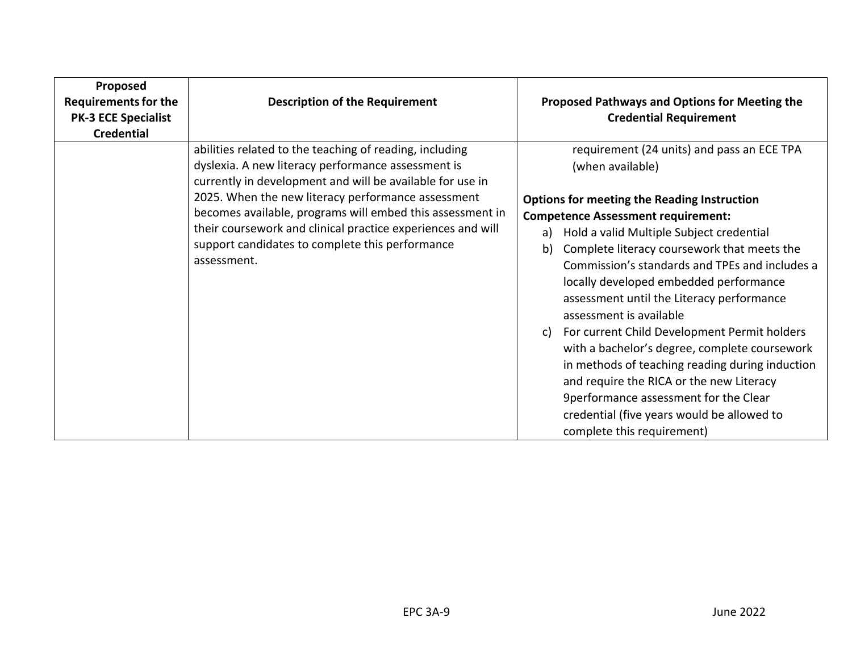| Proposed<br><b>Requirements for the</b><br><b>PK-3 ECE Specialist</b><br><b>Credential</b> | <b>Description of the Requirement</b>                                                                                                                                                                                                            | <b>Proposed Pathways and Options for Meeting the</b><br><b>Credential Requirement</b>                                                                                                                                                                                                                                                                                                                                                                                                                                                                                                                                                                                                              |
|--------------------------------------------------------------------------------------------|--------------------------------------------------------------------------------------------------------------------------------------------------------------------------------------------------------------------------------------------------|----------------------------------------------------------------------------------------------------------------------------------------------------------------------------------------------------------------------------------------------------------------------------------------------------------------------------------------------------------------------------------------------------------------------------------------------------------------------------------------------------------------------------------------------------------------------------------------------------------------------------------------------------------------------------------------------------|
|                                                                                            | abilities related to the teaching of reading, including<br>dyslexia. A new literacy performance assessment is<br>currently in development and will be available for use in                                                                       | requirement (24 units) and pass an ECE TPA<br>(when available)                                                                                                                                                                                                                                                                                                                                                                                                                                                                                                                                                                                                                                     |
|                                                                                            | 2025. When the new literacy performance assessment<br>becomes available, programs will embed this assessment in<br>their coursework and clinical practice experiences and will<br>support candidates to complete this performance<br>assessment. | <b>Options for meeting the Reading Instruction</b><br><b>Competence Assessment requirement:</b><br>a) Hold a valid Multiple Subject credential<br>Complete literacy coursework that meets the<br>b)<br>Commission's standards and TPEs and includes a<br>locally developed embedded performance<br>assessment until the Literacy performance<br>assessment is available<br>For current Child Development Permit holders<br>C)<br>with a bachelor's degree, complete coursework<br>in methods of teaching reading during induction<br>and require the RICA or the new Literacy<br>9performance assessment for the Clear<br>credential (five years would be allowed to<br>complete this requirement) |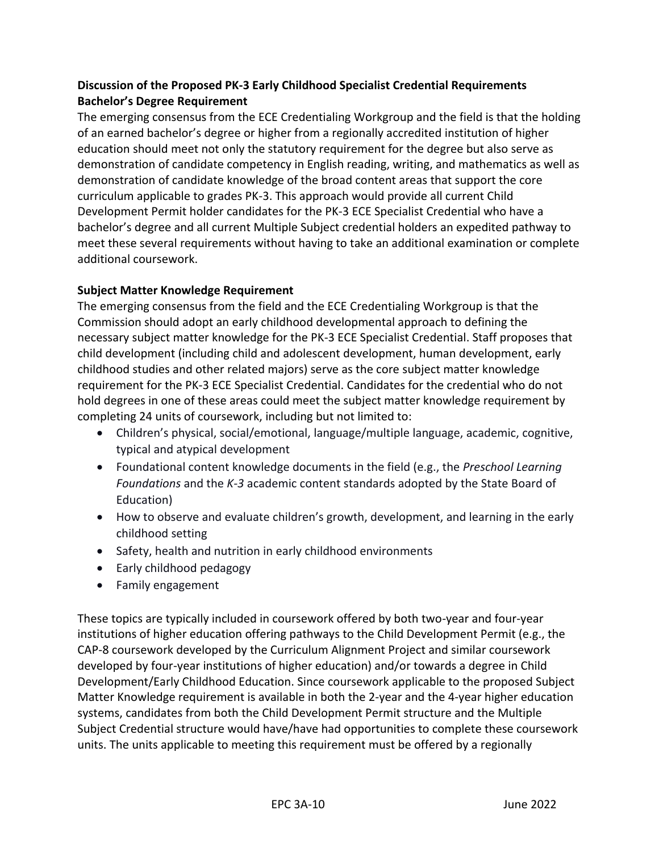### **Discussion of the Proposed PK-3 Early Childhood Specialist Credential Requirements Bachelor's Degree Requirement**

The emerging consensus from the ECE Credentialing Workgroup and the field is that the holding of an earned bachelor's degree or higher from a regionally accredited institution of higher education should meet not only the statutory requirement for the degree but also serve as demonstration of candidate competency in English reading, writing, and mathematics as well as demonstration of candidate knowledge of the broad content areas that support the core curriculum applicable to grades PK-3. This approach would provide all current Child Development Permit holder candidates for the PK-3 ECE Specialist Credential who have a bachelor's degree and all current Multiple Subject credential holders an expedited pathway to meet these several requirements without having to take an additional examination or complete additional coursework.

### **Subject Matter Knowledge Requirement**

The emerging consensus from the field and the ECE Credentialing Workgroup is that the Commission should adopt an early childhood developmental approach to defining the necessary subject matter knowledge for the PK-3 ECE Specialist Credential. Staff proposes that child development (including child and adolescent development, human development, early childhood studies and other related majors) serve as the core subject matter knowledge requirement for the PK-3 ECE Specialist Credential. Candidates for the credential who do not hold degrees in one of these areas could meet the subject matter knowledge requirement by completing 24 units of coursework, including but not limited to:

- Children's physical, social/emotional, language/multiple language, academic, cognitive, typical and atypical development
- Foundational content knowledge documents in the field (e.g., the *Preschool Learning Foundations* and the *K-3* academic content standards adopted by the State Board of Education)
- How to observe and evaluate children's growth, development, and learning in the early childhood setting
- Safety, health and nutrition in early childhood environments
- Early childhood pedagogy
- Family engagement

These topics are typically included in coursework offered by both two-year and four-year institutions of higher education offering pathways to the Child Development Permit (e.g., the CAP-8 coursework developed by the Curriculum Alignment Project and similar coursework developed by four-year institutions of higher education) and/or towards a degree in Child Development/Early Childhood Education. Since coursework applicable to the proposed Subject Matter Knowledge requirement is available in both the 2-year and the 4-year higher education systems, candidates from both the Child Development Permit structure and the Multiple Subject Credential structure would have/have had opportunities to complete these coursework units. The units applicable to meeting this requirement must be offered by a regionally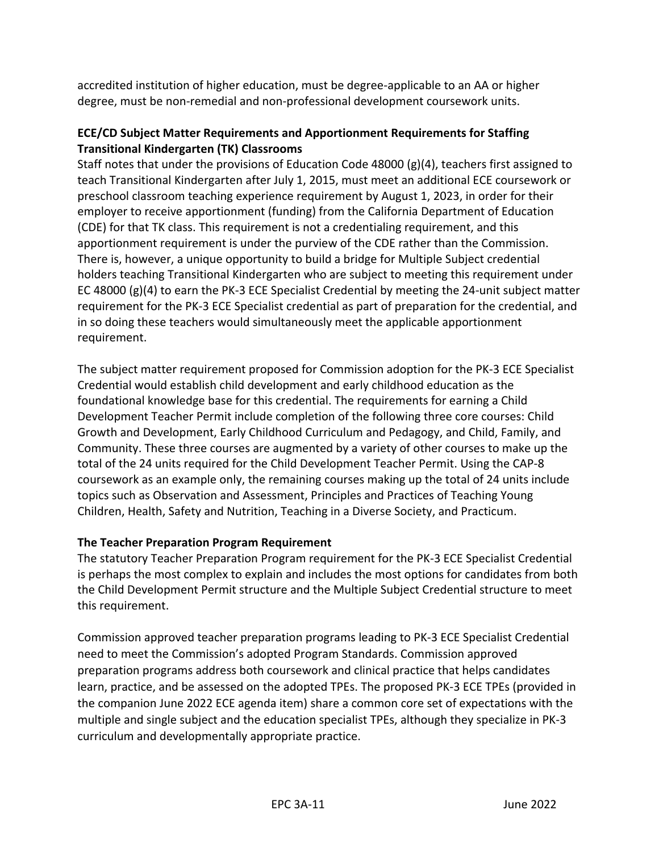accredited institution of higher education, must be degree-applicable to an AA or higher degree, must be non-remedial and non-professional development coursework units.

### **ECE/CD Subject Matter Requirements and Apportionment Requirements for Staffing Transitional Kindergarten (TK) Classrooms**

Staff notes that under the provisions of Education Code 48000 (g)(4), teachers first assigned to teach Transitional Kindergarten after July 1, 2015, must meet an additional ECE coursework or preschool classroom teaching experience requirement by August 1, 2023, in order for their employer to receive apportionment (funding) from the California Department of Education (CDE) for that TK class. This requirement is not a credentialing requirement, and this apportionment requirement is under the purview of the CDE rather than the Commission. There is, however, a unique opportunity to build a bridge for Multiple Subject credential holders teaching Transitional Kindergarten who are subject to meeting this requirement under EC 48000 (g)(4) to earn the PK-3 ECE Specialist Credential by meeting the 24-unit subject matter requirement for the PK-3 ECE Specialist credential as part of preparation for the credential, and in so doing these teachers would simultaneously meet the applicable apportionment requirement.

The subject matter requirement proposed for Commission adoption for the PK-3 ECE Specialist Credential would establish child development and early childhood education as the foundational knowledge base for this credential. The requirements for earning a Child Development Teacher Permit include completion of the following three core courses: Child Growth and Development, Early Childhood Curriculum and Pedagogy, and Child, Family, and Community. These three courses are augmented by a variety of other courses to make up the total of the 24 units required for the Child Development Teacher Permit. Using the CAP-8 coursework as an example only, the remaining courses making up the total of 24 units include topics such as Observation and Assessment, Principles and Practices of Teaching Young Children, Health, Safety and Nutrition, Teaching in a Diverse Society, and Practicum.

### **The Teacher Preparation Program Requirement**

The statutory Teacher Preparation Program requirement for the PK-3 ECE Specialist Credential is perhaps the most complex to explain and includes the most options for candidates from both the Child Development Permit structure and the Multiple Subject Credential structure to meet this requirement.

Commission approved teacher preparation programs leading to PK-3 ECE Specialist Credential need to meet the Commission's adopted Program Standards. Commission approved preparation programs address both coursework and clinical practice that helps candidates learn, practice, and be assessed on the adopted TPEs. The proposed PK-3 ECE TPEs (provided in the companion June 2022 ECE agenda item) share a common core set of expectations with the multiple and single subject and the education specialist TPEs, although they specialize in PK-3 curriculum and developmentally appropriate practice.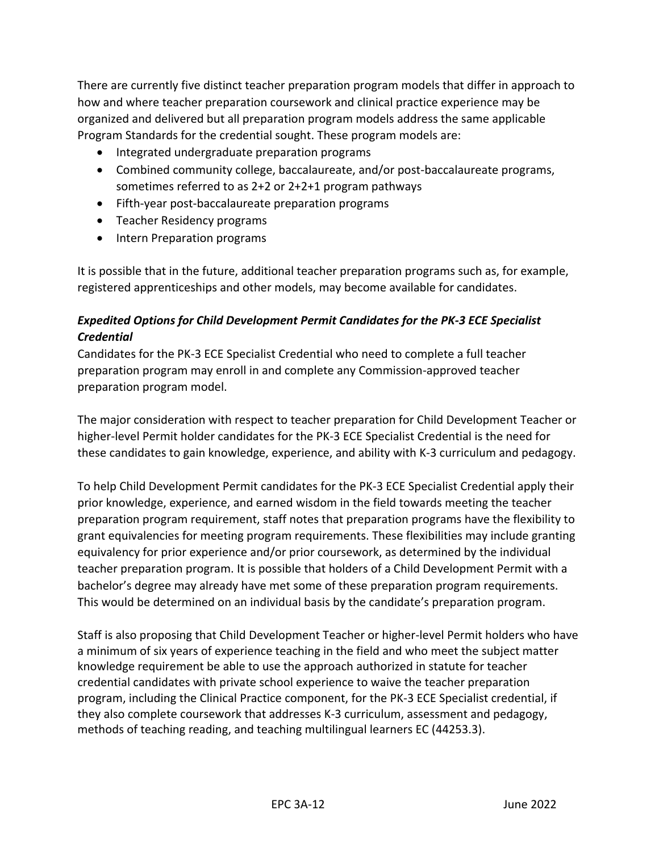There are currently five distinct teacher preparation program models that differ in approach to how and where teacher preparation coursework and clinical practice experience may be organized and delivered but all preparation program models address the same applicable Program Standards for the credential sought. These program models are:

- Integrated undergraduate preparation programs
- Combined community college, baccalaureate, and/or post-baccalaureate programs, sometimes referred to as 2+2 or 2+2+1 program pathways
- Fifth-year post-baccalaureate preparation programs
- Teacher Residency programs
- Intern Preparation programs

It is possible that in the future, additional teacher preparation programs such as, for example, registered apprenticeships and other models, may become available for candidates.

### *Expedited Options for Child Development Permit Candidates for the PK-3 ECE Specialist Credential*

Candidates for the PK-3 ECE Specialist Credential who need to complete a full teacher preparation program may enroll in and complete any Commission-approved teacher preparation program model.

The major consideration with respect to teacher preparation for Child Development Teacher or higher-level Permit holder candidates for the PK-3 ECE Specialist Credential is the need for these candidates to gain knowledge, experience, and ability with K-3 curriculum and pedagogy.

To help Child Development Permit candidates for the PK-3 ECE Specialist Credential apply their prior knowledge, experience, and earned wisdom in the field towards meeting the teacher preparation program requirement, staff notes that preparation programs have the flexibility to grant equivalencies for meeting program requirements. These flexibilities may include granting equivalency for prior experience and/or prior coursework, as determined by the individual teacher preparation program. It is possible that holders of a Child Development Permit with a bachelor's degree may already have met some of these preparation program requirements. This would be determined on an individual basis by the candidate's preparation program.

Staff is also proposing that Child Development Teacher or higher-level Permit holders who have a minimum of six years of experience teaching in the field and who meet the subject matter knowledge requirement be able to use the approach authorized in statute for teacher credential candidates with private school experience to waive the teacher preparation program, including the Clinical Practice component, for the PK-3 ECE Specialist credential, if they also complete coursework that addresses K-3 curriculum, assessment and pedagogy, methods of teaching reading, and teaching multilingual learners EC (44253.3).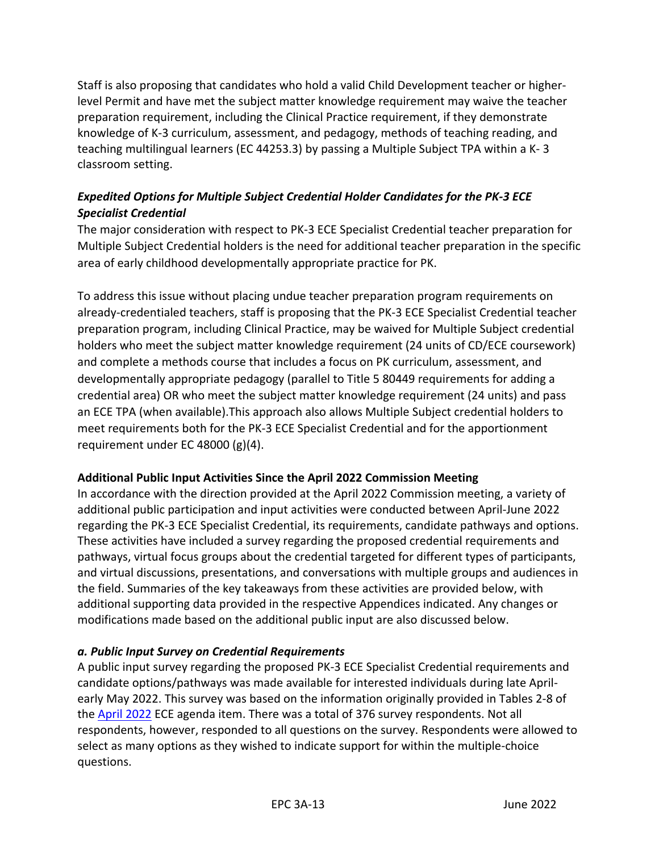Staff is also proposing that candidates who hold a valid Child Development teacher or higherlevel Permit and have met the subject matter knowledge requirement may waive the teacher preparation requirement, including the Clinical Practice requirement, if they demonstrate knowledge of K-3 curriculum, assessment, and pedagogy, methods of teaching reading, and teaching multilingual learners (EC 44253.3) by passing a Multiple Subject TPA within a K- 3 classroom setting.

### *Expedited Options for Multiple Subject Credential Holder Candidates for the PK-3 ECE Specialist Credential*

The major consideration with respect to PK-3 ECE Specialist Credential teacher preparation for Multiple Subject Credential holders is the need for additional teacher preparation in the specific area of early childhood developmentally appropriate practice for PK.

To address this issue without placing undue teacher preparation program requirements on already-credentialed teachers, staff is proposing that the PK-3 ECE Specialist Credential teacher preparation program, including Clinical Practice, may be waived for Multiple Subject credential holders who meet the subject matter knowledge requirement (24 units of CD/ECE coursework) and complete a methods course that includes a focus on PK curriculum, assessment, and developmentally appropriate pedagogy (parallel to Title 5 80449 requirements for adding a credential area) OR who meet the subject matter knowledge requirement (24 units) and pass an ECE TPA (when available).This approach also allows Multiple Subject credential holders to meet requirements both for the PK-3 ECE Specialist Credential and for the apportionment requirement under EC 48000 (g)(4).

### **Additional Public Input Activities Since the April 2022 Commission Meeting**

In accordance with the direction provided at the April 2022 Commission meeting, a variety of additional public participation and input activities were conducted between April-June 2022 regarding the PK-3 ECE Specialist Credential, its requirements, candidate pathways and options. These activities have included a survey regarding the proposed credential requirements and pathways, virtual focus groups about the credential targeted for different types of participants, and virtual discussions, presentations, and conversations with multiple groups and audiences in the field. Summaries of the key takeaways from these activities are provided below, with additional supporting data provided in the respective Appendices indicated. Any changes or modifications made based on the additional public input are also discussed below.

### *a. Public Input Survey on Credential Requirements*

A public input survey regarding the proposed PK-3 ECE Specialist Credential requirements and candidate options/pathways was made available for interested individuals during late Aprilearly May 2022. This survey was based on the information originally provided in Tables 2-8 of the [April 2022](https://www.ctc.ca.gov/docs/default-source/commission/agendas/2022-04/2022-04-3h.pdf?sfvrsn=5afb27b1_3) ECE agenda item. There was a total of 376 survey respondents. Not all respondents, however, responded to all questions on the survey. Respondents were allowed to select as many options as they wished to indicate support for within the multiple-choice questions.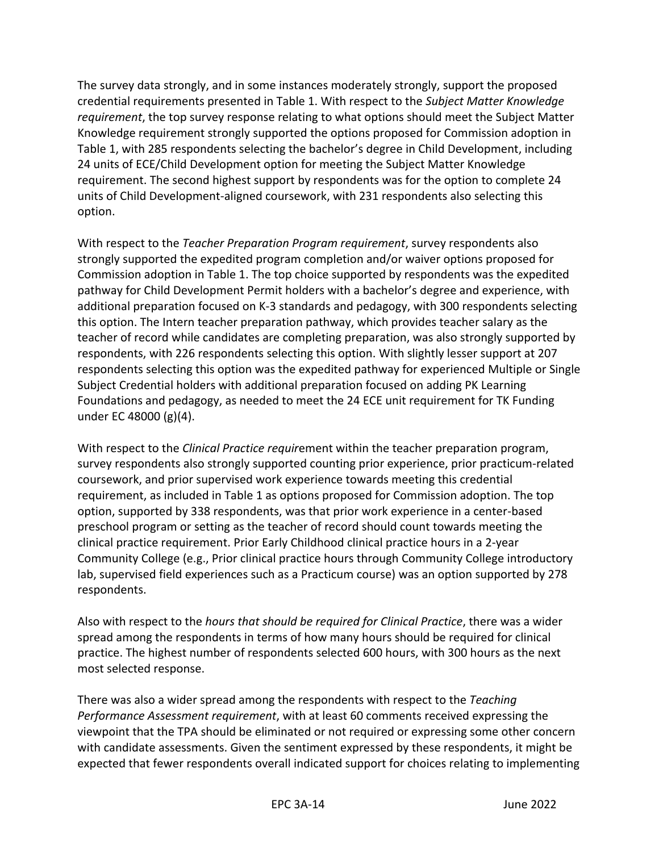The survey data strongly, and in some instances moderately strongly, support the proposed credential requirements presented in Table 1. With respect to the *Subject Matter Knowledge requirement*, the top survey response relating to what options should meet the Subject Matter Knowledge requirement strongly supported the options proposed for Commission adoption in Table 1, with 285 respondents selecting the bachelor's degree in Child Development, including 24 units of ECE/Child Development option for meeting the Subject Matter Knowledge requirement. The second highest support by respondents was for the option to complete 24 units of Child Development-aligned coursework, with 231 respondents also selecting this option.

With respect to the *Teacher Preparation Program requirement*, survey respondents also strongly supported the expedited program completion and/or waiver options proposed for Commission adoption in Table 1. The top choice supported by respondents was the expedited pathway for Child Development Permit holders with a bachelor's degree and experience, with additional preparation focused on K-3 standards and pedagogy, with 300 respondents selecting this option. The Intern teacher preparation pathway, which provides teacher salary as the teacher of record while candidates are completing preparation, was also strongly supported by respondents, with 226 respondents selecting this option. With slightly lesser support at 207 respondents selecting this option was the expedited pathway for experienced Multiple or Single Subject Credential holders with additional preparation focused on adding PK Learning Foundations and pedagogy, as needed to meet the 24 ECE unit requirement for TK Funding under EC 48000 (g)(4).

With respect to the *Clinical Practice requir*ement within the teacher preparation program, survey respondents also strongly supported counting prior experience, prior practicum-related coursework, and prior supervised work experience towards meeting this credential requirement, as included in Table 1 as options proposed for Commission adoption. The top option, supported by 338 respondents, was that prior work experience in a center-based preschool program or setting as the teacher of record should count towards meeting the clinical practice requirement. Prior Early Childhood clinical practice hours in a 2-year Community College (e.g., Prior clinical practice hours through Community College introductory lab, supervised field experiences such as a Practicum course) was an option supported by 278 respondents.

Also with respect to the *hours that should be required for Clinical Practice*, there was a wider spread among the respondents in terms of how many hours should be required for clinical practice. The highest number of respondents selected 600 hours, with 300 hours as the next most selected response.

There was also a wider spread among the respondents with respect to the *Teaching Performance Assessment requirement*, with at least 60 comments received expressing the viewpoint that the TPA should be eliminated or not required or expressing some other concern with candidate assessments. Given the sentiment expressed by these respondents, it might be expected that fewer respondents overall indicated support for choices relating to implementing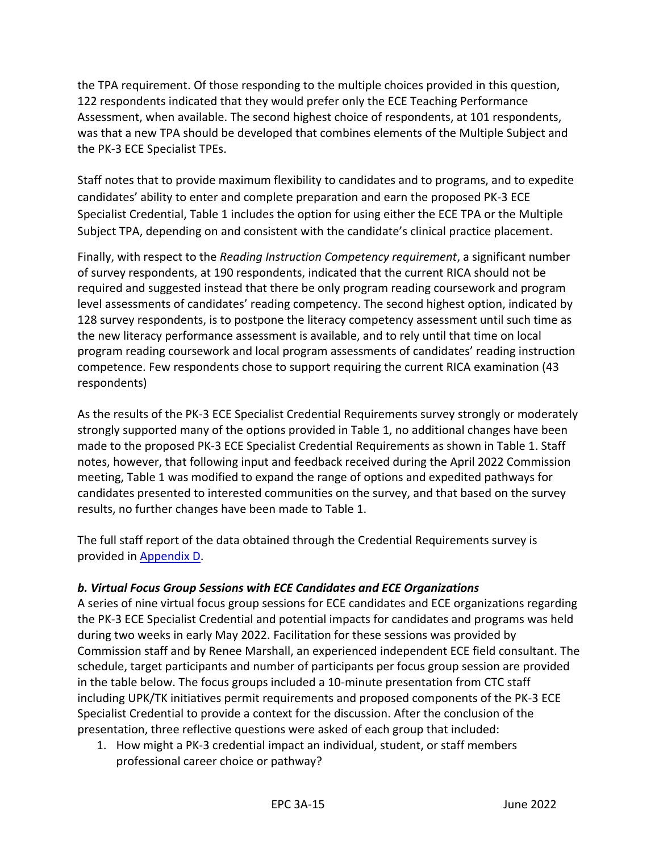the TPA requirement. Of those responding to the multiple choices provided in this question, 122 respondents indicated that they would prefer only the ECE Teaching Performance Assessment, when available. The second highest choice of respondents, at 101 respondents, was that a new TPA should be developed that combines elements of the Multiple Subject and the PK-3 ECE Specialist TPEs.

Staff notes that to provide maximum flexibility to candidates and to programs, and to expedite candidates' ability to enter and complete preparation and earn the proposed PK-3 ECE Specialist Credential, Table 1 includes the option for using either the ECE TPA or the Multiple Subject TPA, depending on and consistent with the candidate's clinical practice placement.

Finally, with respect to the *Reading Instruction Competency requirement*, a significant number of survey respondents, at 190 respondents, indicated that the current RICA should not be required and suggested instead that there be only program reading coursework and program level assessments of candidates' reading competency. The second highest option, indicated by 128 survey respondents, is to postpone the literacy competency assessment until such time as the new literacy performance assessment is available, and to rely until that time on local program reading coursework and local program assessments of candidates' reading instruction competence. Few respondents chose to support requiring the current RICA examination (43 respondents)

As the results of the PK-3 ECE Specialist Credential Requirements survey strongly or moderately strongly supported many of the options provided in Table 1, no additional changes have been made to the proposed PK-3 ECE Specialist Credential Requirements as shown in Table 1. Staff notes, however, that following input and feedback received during the April 2022 Commission meeting, Table 1 was modified to expand the range of options and expedited pathways for candidates presented to interested communities on the survey, and that based on the survey results, no further changes have been made to Table 1.

The full staff report of the data obtained through the Credential Requirements survey is provided in [Appendix D.](#page-27-0)

### *b. Virtual Focus Group Sessions with ECE Candidates and ECE Organizations*

A series of nine virtual focus group sessions for ECE candidates and ECE organizations regarding the PK-3 ECE Specialist Credential and potential impacts for candidates and programs was held during two weeks in early May 2022. Facilitation for these sessions was provided by Commission staff and by Renee Marshall, an experienced independent ECE field consultant. The schedule, target participants and number of participants per focus group session are provided in the table below. The focus groups included a 10-minute presentation from CTC staff including UPK/TK initiatives permit requirements and proposed components of the PK-3 ECE Specialist Credential to provide a context for the discussion. After the conclusion of the presentation, three reflective questions were asked of each group that included:

1. How might a PK-3 credential impact an individual, student, or staff members professional career choice or pathway?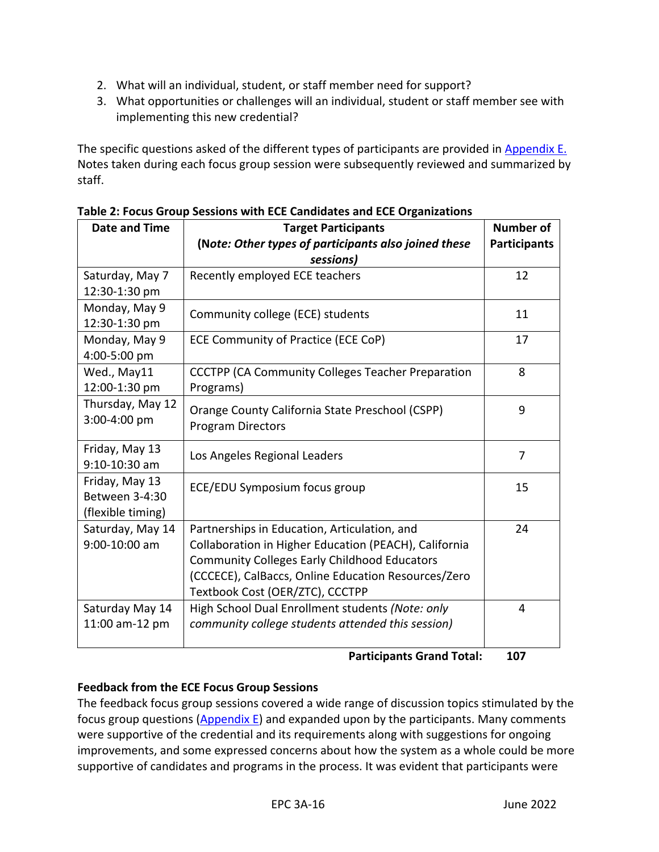- 2. What will an individual, student, or staff member need for support?
- 3. What opportunities or challenges will an individual, student or staff member see with implementing this new credential?

The specific questions asked of the different types of participants are provided in [Appendix E.](#page-43-0) Notes taken during each focus group session were subsequently reviewed and summarized by staff.

| Date and Time                                         | <b>Target Participants</b><br>(Note: Other types of participants also joined these<br>sessions)                                                                                                                                                        | <b>Number of</b><br><b>Participants</b> |
|-------------------------------------------------------|--------------------------------------------------------------------------------------------------------------------------------------------------------------------------------------------------------------------------------------------------------|-----------------------------------------|
| Saturday, May 7<br>12:30-1:30 pm                      | Recently employed ECE teachers                                                                                                                                                                                                                         | 12                                      |
| Monday, May 9<br>12:30-1:30 pm                        | Community college (ECE) students                                                                                                                                                                                                                       | 11                                      |
| Monday, May 9<br>4:00-5:00 pm                         | <b>ECE Community of Practice (ECE CoP)</b>                                                                                                                                                                                                             | 17                                      |
| Wed., May11<br>12:00-1:30 pm                          | <b>CCCTPP (CA Community Colleges Teacher Preparation</b><br>Programs)                                                                                                                                                                                  | 8                                       |
| Thursday, May 12<br>3:00-4:00 pm                      | Orange County California State Preschool (CSPP)<br><b>Program Directors</b>                                                                                                                                                                            | 9                                       |
| Friday, May 13<br>9:10-10:30 am                       | Los Angeles Regional Leaders                                                                                                                                                                                                                           | $\overline{7}$                          |
| Friday, May 13<br>Between 3-4:30<br>(flexible timing) | ECE/EDU Symposium focus group                                                                                                                                                                                                                          | 15                                      |
| Saturday, May 14<br>9:00-10:00 am                     | Partnerships in Education, Articulation, and<br>Collaboration in Higher Education (PEACH), California<br><b>Community Colleges Early Childhood Educators</b><br>(CCCECE), CalBaccs, Online Education Resources/Zero<br>Textbook Cost (OER/ZTC), CCCTPP | 24                                      |
| Saturday May 14<br>11:00 am-12 pm                     | High School Dual Enrollment students (Note: only<br>community college students attended this session)                                                                                                                                                  | 4                                       |

**Table 2: Focus Group Sessions with ECE Candidates and ECE Organizations**

**Participants Grand Total: 107**

### **Feedback from the ECE Focus Group Sessions**

The feedback focus group sessions covered a wide range of discussion topics stimulated by the focus group questions [\(Appendix E\)](#page-43-0) and expanded upon by the participants. Many comments were supportive of the credential and its requirements along with suggestions for ongoing improvements, and some expressed concerns about how the system as a whole could be more supportive of candidates and programs in the process. It was evident that participants were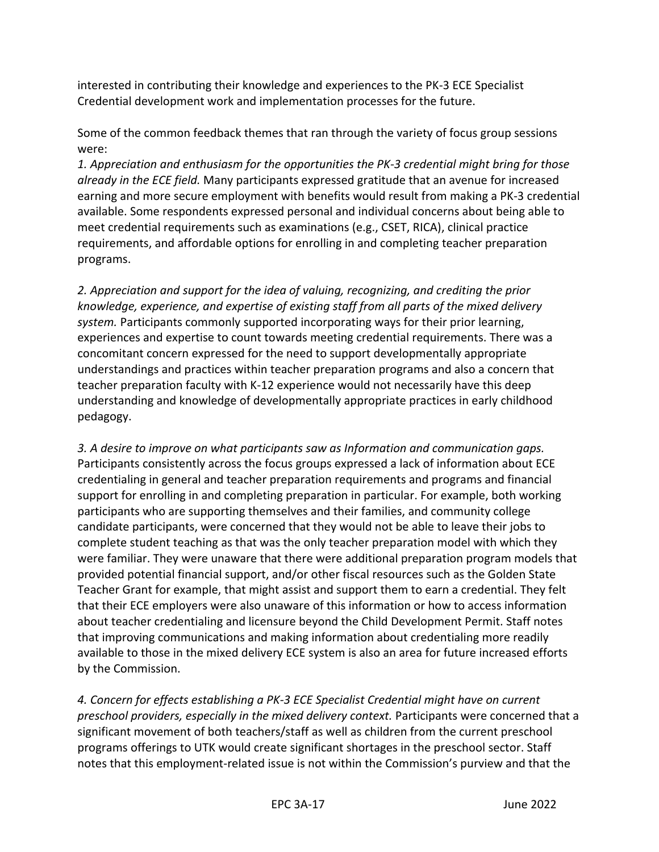interested in contributing their knowledge and experiences to the PK-3 ECE Specialist Credential development work and implementation processes for the future.

Some of the common feedback themes that ran through the variety of focus group sessions were:

*1. Appreciation and enthusiasm for the opportunities the PK-3 credential might bring for those already in the ECE field.* Many participants expressed gratitude that an avenue for increased earning and more secure employment with benefits would result from making a PK-3 credential available. Some respondents expressed personal and individual concerns about being able to meet credential requirements such as examinations (e.g., CSET, RICA), clinical practice requirements, and affordable options for enrolling in and completing teacher preparation programs.

*2. Appreciation and support for the idea of valuing, recognizing, and crediting the prior knowledge, experience, and expertise of existing staff from all parts of the mixed delivery system.* Participants commonly supported incorporating ways for their prior learning, experiences and expertise to count towards meeting credential requirements. There was a concomitant concern expressed for the need to support developmentally appropriate understandings and practices within teacher preparation programs and also a concern that teacher preparation faculty with K-12 experience would not necessarily have this deep understanding and knowledge of developmentally appropriate practices in early childhood pedagogy.

*3. A desire to improve on what participants saw as Information and communication gaps.*  Participants consistently across the focus groups expressed a lack of information about ECE credentialing in general and teacher preparation requirements and programs and financial support for enrolling in and completing preparation in particular. For example, both working participants who are supporting themselves and their families, and community college candidate participants, were concerned that they would not be able to leave their jobs to complete student teaching as that was the only teacher preparation model with which they were familiar. They were unaware that there were additional preparation program models that provided potential financial support, and/or other fiscal resources such as the Golden State Teacher Grant for example, that might assist and support them to earn a credential. They felt that their ECE employers were also unaware of this information or how to access information about teacher credentialing and licensure beyond the Child Development Permit. Staff notes that improving communications and making information about credentialing more readily available to those in the mixed delivery ECE system is also an area for future increased efforts by the Commission.

*4. Concern for effects establishing a PK-3 ECE Specialist Credential might have on current preschool providers, especially in the mixed delivery context.* Participants were concerned that a significant movement of both teachers/staff as well as children from the current preschool programs offerings to UTK would create significant shortages in the preschool sector. Staff notes that this employment-related issue is not within the Commission's purview and that the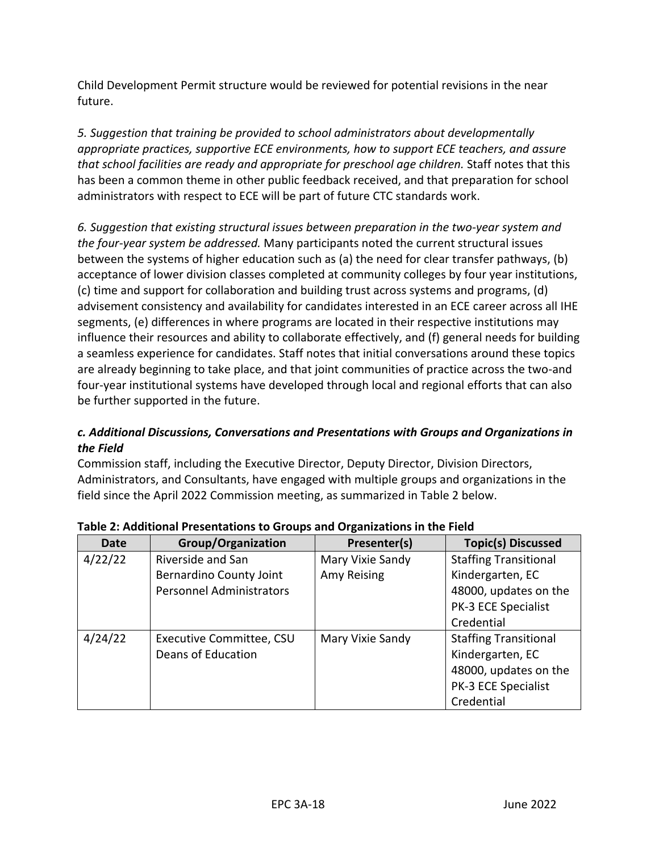Child Development Permit structure would be reviewed for potential revisions in the near future.

*5. Suggestion that training be provided to school administrators about developmentally appropriate practices, supportive ECE environments, how to support ECE teachers, and assure that school facilities are ready and appropriate for preschool age children.* Staff notes that this has been a common theme in other public feedback received, and that preparation for school administrators with respect to ECE will be part of future CTC standards work.

*6. Suggestion that existing structural issues between preparation in the two-year system and the four-year system be addressed.* Many participants noted the current structural issues between the systems of higher education such as (a) the need for clear transfer pathways, (b) acceptance of lower division classes completed at community colleges by four year institutions, (c) time and support for collaboration and building trust across systems and programs, (d) advisement consistency and availability for candidates interested in an ECE career across all IHE segments, (e) differences in where programs are located in their respective institutions may influence their resources and ability to collaborate effectively, and (f) general needs for building a seamless experience for candidates. Staff notes that initial conversations around these topics are already beginning to take place, and that joint communities of practice across the two-and four-year institutional systems have developed through local and regional efforts that can also be further supported in the future.

### *c. Additional Discussions, Conversations and Presentations with Groups and Organizations in the Field*

Commission staff, including the Executive Director, Deputy Director, Division Directors, Administrators, and Consultants, have engaged with multiple groups and organizations in the field since the April 2022 Commission meeting, as summarized in Table 2 below.

| <b>Date</b> | <b>Group/Organization</b>       | Presenter(s)     | <b>Topic(s) Discussed</b>    |
|-------------|---------------------------------|------------------|------------------------------|
| 4/22/22     | Riverside and San               | Mary Vixie Sandy | <b>Staffing Transitional</b> |
|             | Bernardino County Joint         | Amy Reising      | Kindergarten, EC             |
|             | <b>Personnel Administrators</b> |                  | 48000, updates on the        |
|             |                                 |                  | PK-3 ECE Specialist          |
|             |                                 |                  | Credential                   |
| 4/24/22     | Executive Committee, CSU        | Mary Vixie Sandy | <b>Staffing Transitional</b> |
|             | Deans of Education              |                  | Kindergarten, EC             |
|             |                                 |                  | 48000, updates on the        |
|             |                                 |                  | PK-3 ECE Specialist          |
|             |                                 |                  | Credential                   |

### **Table 2: Additional Presentations to Groups and Organizations in the Field**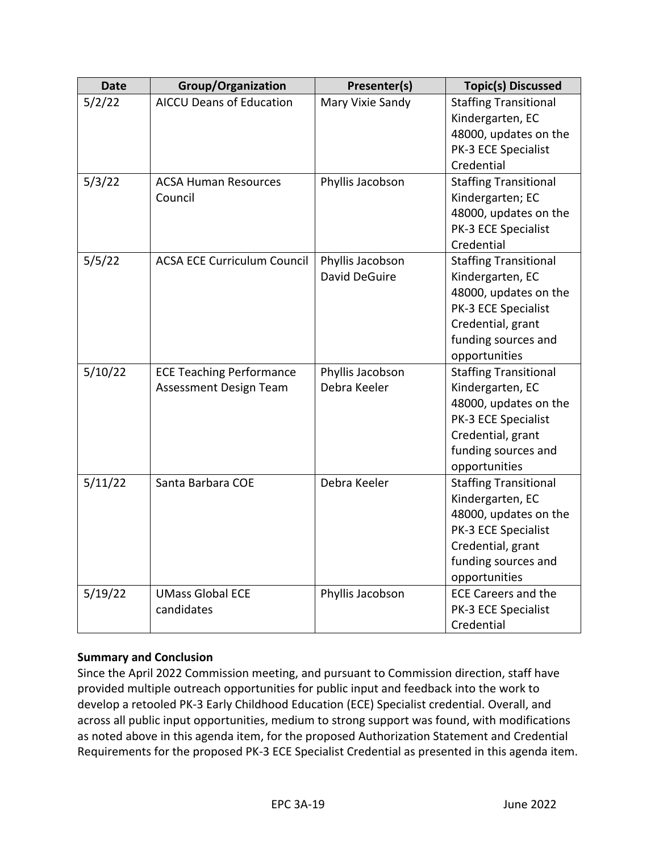| <b>Date</b> | <b>Group/Organization</b>          | Presenter(s)     | <b>Topic(s) Discussed</b>    |
|-------------|------------------------------------|------------------|------------------------------|
| 5/2/22      | <b>AICCU Deans of Education</b>    | Mary Vixie Sandy | <b>Staffing Transitional</b> |
|             |                                    |                  | Kindergarten, EC             |
|             |                                    |                  | 48000, updates on the        |
|             |                                    |                  | PK-3 ECE Specialist          |
|             |                                    |                  | Credential                   |
| 5/3/22      | <b>ACSA Human Resources</b>        | Phyllis Jacobson | <b>Staffing Transitional</b> |
|             | Council                            |                  | Kindergarten; EC             |
|             |                                    |                  | 48000, updates on the        |
|             |                                    |                  | PK-3 ECE Specialist          |
|             |                                    |                  | Credential                   |
| 5/5/22      | <b>ACSA ECE Curriculum Council</b> | Phyllis Jacobson | <b>Staffing Transitional</b> |
|             |                                    | David DeGuire    | Kindergarten, EC             |
|             |                                    |                  | 48000, updates on the        |
|             |                                    |                  | PK-3 ECE Specialist          |
|             |                                    |                  | Credential, grant            |
|             |                                    |                  | funding sources and          |
|             |                                    |                  | opportunities                |
| 5/10/22     | <b>ECE Teaching Performance</b>    | Phyllis Jacobson | <b>Staffing Transitional</b> |
|             | Assessment Design Team             | Debra Keeler     | Kindergarten, EC             |
|             |                                    |                  | 48000, updates on the        |
|             |                                    |                  | PK-3 ECE Specialist          |
|             |                                    |                  | Credential, grant            |
|             |                                    |                  | funding sources and          |
|             |                                    |                  | opportunities                |
| 5/11/22     | Santa Barbara COE                  | Debra Keeler     | <b>Staffing Transitional</b> |
|             |                                    |                  | Kindergarten, EC             |
|             |                                    |                  | 48000, updates on the        |
|             |                                    |                  | PK-3 ECE Specialist          |
|             |                                    |                  | Credential, grant            |
|             |                                    |                  | funding sources and          |
|             |                                    |                  | opportunities                |
| 5/19/22     | <b>UMass Global ECE</b>            | Phyllis Jacobson | <b>ECE Careers and the</b>   |
|             | candidates                         |                  | PK-3 ECE Specialist          |
|             |                                    |                  | Credential                   |

### **Summary and Conclusion**

Since the April 2022 Commission meeting, and pursuant to Commission direction, staff have provided multiple outreach opportunities for public input and feedback into the work to develop a retooled PK-3 Early Childhood Education (ECE) Specialist credential. Overall, and across all public input opportunities, medium to strong support was found, with modifications as noted above in this agenda item, for the proposed Authorization Statement and Credential Requirements for the proposed PK-3 ECE Specialist Credential as presented in this agenda item.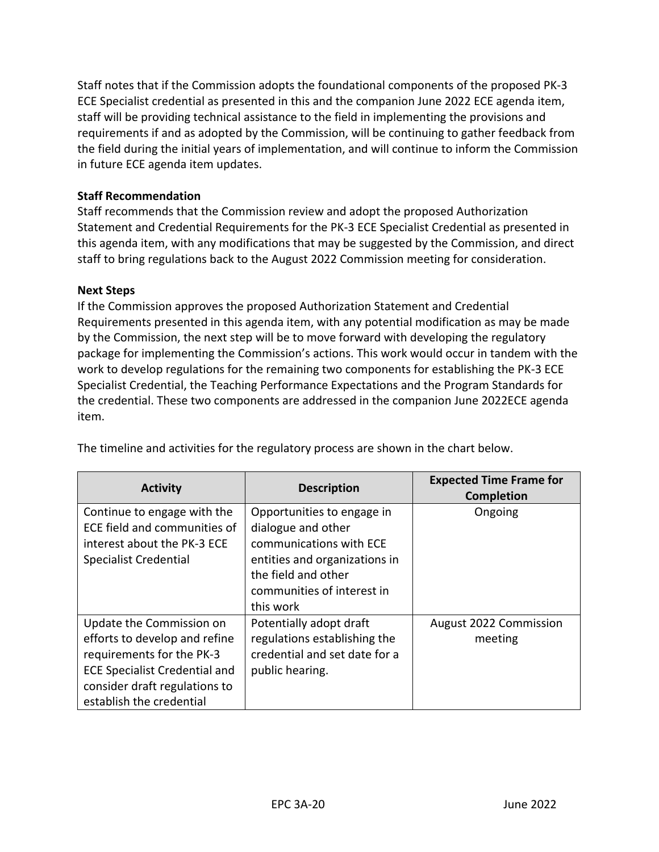Staff notes that if the Commission adopts the foundational components of the proposed PK-3 ECE Specialist credential as presented in this and the companion June 2022 ECE agenda item, staff will be providing technical assistance to the field in implementing the provisions and requirements if and as adopted by the Commission, will be continuing to gather feedback from the field during the initial years of implementation, and will continue to inform the Commission in future ECE agenda item updates.

### **Staff Recommendation**

Staff recommends that the Commission review and adopt the proposed Authorization Statement and Credential Requirements for the PK-3 ECE Specialist Credential as presented in this agenda item, with any modifications that may be suggested by the Commission, and direct staff to bring regulations back to the August 2022 Commission meeting for consideration.

### **Next Steps**

If the Commission approves the proposed Authorization Statement and Credential Requirements presented in this agenda item, with any potential modification as may be made by the Commission, the next step will be to move forward with developing the regulatory package for implementing the Commission's actions. This work would occur in tandem with the work to develop regulations for the remaining two components for establishing the PK-3 ECE Specialist Credential, the Teaching Performance Expectations and the Program Standards for the credential. These two components are addressed in the companion June 2022ECE agenda item.

| <b>Activity</b>                                                                                                                                                                             | <b>Description</b>                                                                                                                                                             | <b>Expected Time Frame for</b><br><b>Completion</b> |
|---------------------------------------------------------------------------------------------------------------------------------------------------------------------------------------------|--------------------------------------------------------------------------------------------------------------------------------------------------------------------------------|-----------------------------------------------------|
| Continue to engage with the<br>ECE field and communities of<br>interest about the PK-3 ECE<br>Specialist Credential                                                                         | Opportunities to engage in<br>dialogue and other<br>communications with ECE<br>entities and organizations in<br>the field and other<br>communities of interest in<br>this work | Ongoing                                             |
| Update the Commission on<br>efforts to develop and refine<br>requirements for the PK-3<br><b>ECE Specialist Credential and</b><br>consider draft regulations to<br>establish the credential | Potentially adopt draft<br>regulations establishing the<br>credential and set date for a<br>public hearing.                                                                    | <b>August 2022 Commission</b><br>meeting            |

The timeline and activities for the regulatory process are shown in the chart below.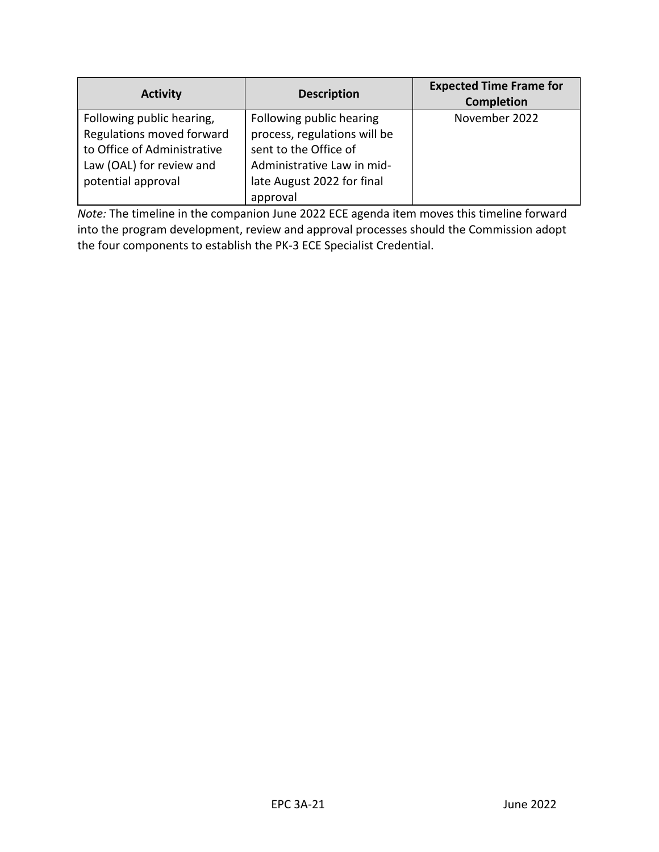| <b>Activity</b>                                                                                                                         | <b>Description</b>                                                                                                                                        | <b>Expected Time Frame for</b><br><b>Completion</b> |
|-----------------------------------------------------------------------------------------------------------------------------------------|-----------------------------------------------------------------------------------------------------------------------------------------------------------|-----------------------------------------------------|
| Following public hearing,<br>Regulations moved forward<br>to Office of Administrative<br>Law (OAL) for review and<br>potential approval | Following public hearing<br>process, regulations will be<br>sent to the Office of<br>Administrative Law in mid-<br>late August 2022 for final<br>approval | November 2022                                       |

*Note:* The timeline in the companion June 2022 ECE agenda item moves this timeline forward into the program development, review and approval processes should the Commission adopt the four components to establish the PK-3 ECE Specialist Credential.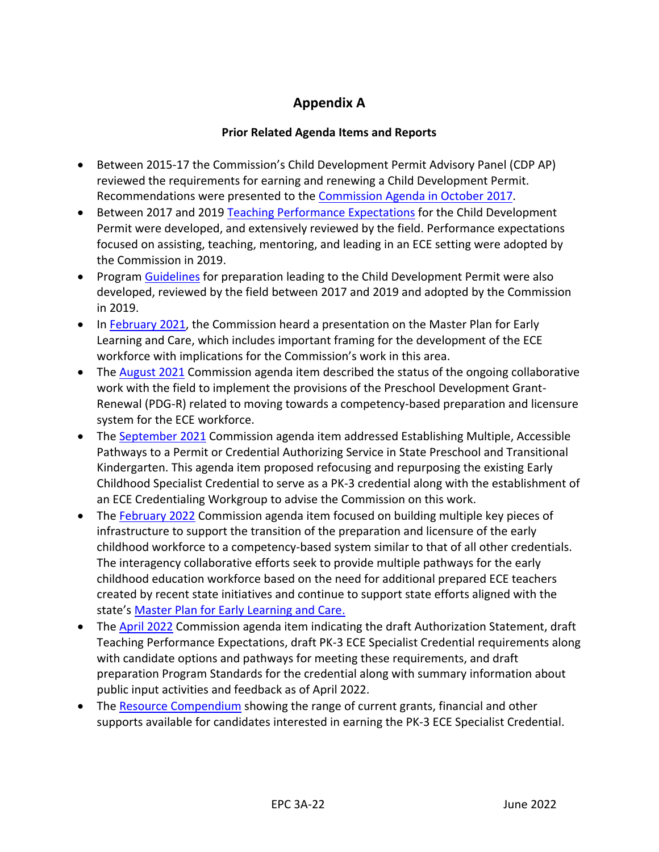# **Appendix A**

### **Prior Related Agenda Items and Reports**

- <span id="page-22-0"></span>• Between 2015-17 the Commission's Child Development Permit Advisory Panel (CDP AP) reviewed the requirements for earning and renewing a Child Development Permit. Recommendations were presented to the [Commission Agenda in October 2017.](https://www.ctc.ca.gov/commission/agendas/2017-10/october-2017-commission-agenda)
- Between 2017 and 2019 [Teaching Performance Expectations](https://www.ctc.ca.gov/docs/default-source/educator-prep/standards/ece-performance-expectations-pdf.pdf?sfvrsn=2#:~:text=The%20ECE%20Teaching%20Performance%20Expectations%20%28ECE-TPEs%29%20represent%20the,learn%20and%20practice%20in%20preparation%20programs%20in%20California.) for the Child Development Permit were developed, and extensively reviewed by the field. Performance expectations focused on assisting, teaching, mentoring, and leading in an ECE setting were adopted by the Commission in 2019.
- Program [Guidelines](https://www.ctc.ca.gov/docs/default-source/educator-prep/standards/ece-program-guidelines-pdf.pdf?sfvrsn=ba5b53b1_6#:~:text=ECE%20Program%20Guidelines%203%20April%202019%20The%20program,support%20learning%20and%20access%20for%20all%20young%20children.) for preparation leading to the Child Development Permit were also developed, reviewed by the field between 2017 and 2019 and adopted by the Commission in 2019.
- In [February 2021,](https://www.ctc.ca.gov/docs/default-source/commission/agendas/2021-02/2021-02-3f.pdf?sfvrsn=6b9f2bb1_6) the Commission heard a presentation on the Master Plan for Early Learning and Care, which includes important framing for the development of the ECE workforce with implications for the Commission's work in this area.
- The [August 2021](https://www.ctc.ca.gov/docs/default-source/commission/agendas/2021-08/2021-08-3d.pdf?sfvrsn=4d352ab1_2) Commission agenda item described the status of the ongoing collaborative work with the field to implement the provisions of the Preschool Development Grant-Renewal (PDG-R) related to moving towards a competency-based preparation and licensure system for the ECE workforce.
- The [September 2021](https://www.ctc.ca.gov/docs/default-source/commission/agendas/2021-09/2021-09-2a.pdf?sfvrsn=14b325b1_2) Commission agenda item addressed Establishing Multiple, Accessible Pathways to a Permit or Credential Authorizing Service in State Preschool and Transitional Kindergarten. This agenda item proposed refocusing and repurposing the existing Early Childhood Specialist Credential to serve as a PK-3 credential along with the establishment of an ECE Credentialing Workgroup to advise the Commission on this work.
- The [February 2022](https://www.ctc.ca.gov/docs/default-source/commission/agendas/2022-02/2022-02-3e.pdf?sfvrsn=4e5d24b1_3) Commission agenda item focused on building multiple key pieces of infrastructure to support the transition of the preparation and licensure of the early childhood workforce to a competency-based system similar to that of all other credentials. The interagency collaborative efforts seek to provide multiple pathways for the early childhood education workforce based on the need for additional prepared ECE teachers created by recent state initiatives and continue to support state efforts aligned with the state's [Master Plan for Early Learning and Care.](https://www.chhs.ca.gov/home/master-plan-for-early-learning-and-care/)
- The [April 2022](https://www.ctc.ca.gov/docs/default-source/commission/agendas/2022-04/2022-04-3h.pdf?sfvrsn=5afb27b1_3) Commission agenda item indicating the draft Authorization Statement, draft Teaching Performance Expectations, draft PK-3 ECE Specialist Credential requirements along with candidate options and pathways for meeting these requirements, and draft preparation Program Standards for the credential along with summary information about public input activities and feedback as of April 2022.
- The [Resource Compendium](https://www.cde.ca.gov/ci/gs/p3/documents/upkteachercompendium.pdf) showing the range of current grants, financial and other supports available for candidates interested in earning the PK-3 ECE Specialist Credential.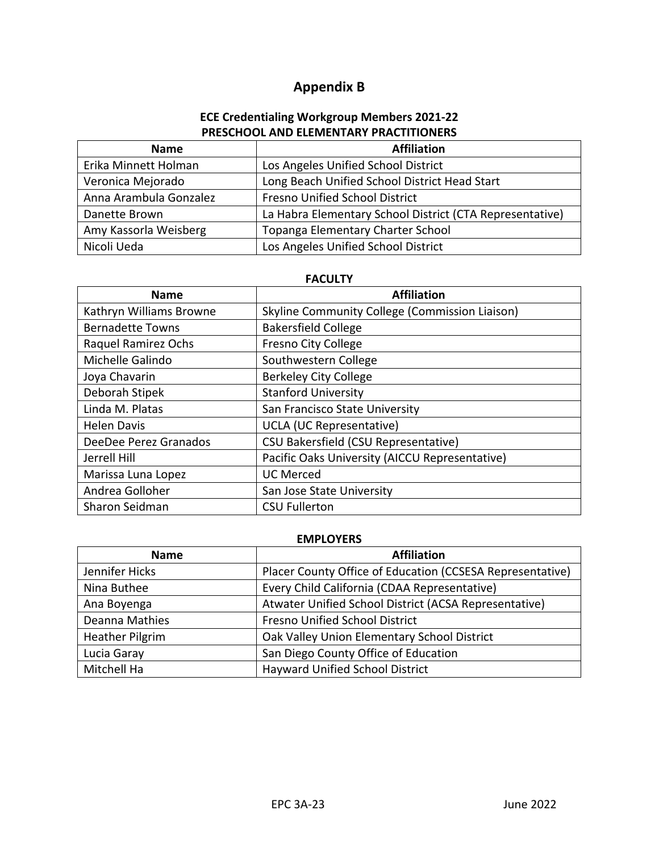# **Appendix B**

### **ECE Credentialing Workgroup Members 2021-22 PRESCHOOL AND ELEMENTARY PRACTITIONERS**

<span id="page-23-0"></span>

| <b>Name</b>            | <b>Affiliation</b>                                       |
|------------------------|----------------------------------------------------------|
| Erika Minnett Holman   | Los Angeles Unified School District                      |
| Veronica Mejorado      | Long Beach Unified School District Head Start            |
| Anna Arambula Gonzalez | <b>Fresno Unified School District</b>                    |
| Danette Brown          | La Habra Elementary School District (CTA Representative) |
| Amy Kassorla Weisberg  | Topanga Elementary Charter School                        |
| Nicoli Ueda            | Los Angeles Unified School District                      |

### **FACULTY**

| <b>Name</b>             | <b>Affiliation</b>                             |
|-------------------------|------------------------------------------------|
| Kathryn Williams Browne | Skyline Community College (Commission Liaison) |
| <b>Bernadette Towns</b> | <b>Bakersfield College</b>                     |
| Raquel Ramirez Ochs     | Fresno City College                            |
| Michelle Galindo        | Southwestern College                           |
| Joya Chavarin           | <b>Berkeley City College</b>                   |
| Deborah Stipek          | <b>Stanford University</b>                     |
| Linda M. Platas         | San Francisco State University                 |
| <b>Helen Davis</b>      | <b>UCLA (UC Representative)</b>                |
| DeeDee Perez Granados   | CSU Bakersfield (CSU Representative)           |
| Jerrell Hill            | Pacific Oaks University (AICCU Representative) |
| Marissa Luna Lopez      | <b>UC Merced</b>                               |
| Andrea Golloher         | San Jose State University                      |
| Sharon Seidman          | <b>CSU Fullerton</b>                           |

### **EMPLOYERS**

| <b>Name</b>            | <b>Affiliation</b>                                        |
|------------------------|-----------------------------------------------------------|
| Jennifer Hicks         | Placer County Office of Education (CCSESA Representative) |
| Nina Buthee            | Every Child California (CDAA Representative)              |
| Ana Boyenga            | Atwater Unified School District (ACSA Representative)     |
| Deanna Mathies         | Fresno Unified School District                            |
| <b>Heather Pilgrim</b> | Oak Valley Union Elementary School District               |
| Lucia Garay            | San Diego County Office of Education                      |
| Mitchell Ha            | <b>Hayward Unified School District</b>                    |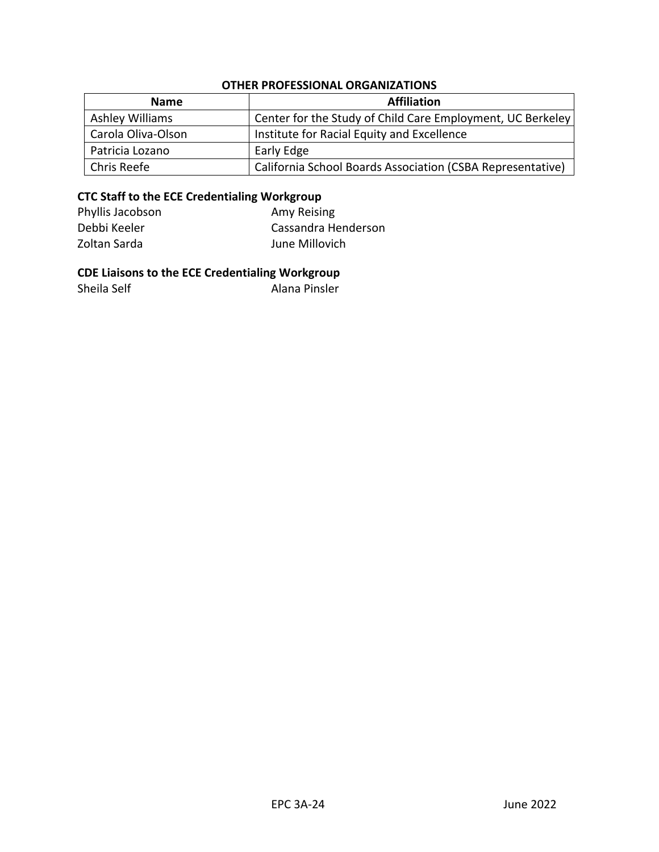### **OTHER PROFESSIONAL ORGANIZATIONS**

| <b>Name</b>        | <b>Affiliation</b>                                         |
|--------------------|------------------------------------------------------------|
| Ashley Williams    | Center for the Study of Child Care Employment, UC Berkeley |
| Carola Oliva-Olson | Institute for Racial Equity and Excellence                 |
| Patricia Lozano    | Early Edge                                                 |
| Chris Reefe        | California School Boards Association (CSBA Representative) |

### **CTC Staff to the ECE Credentialing Workgroup**

| Phyllis Jacobson | Amy Reising         |
|------------------|---------------------|
| Debbi Keeler     | Cassandra Henderson |
| Zoltan Sarda     | June Millovich      |

### **CDE Liaisons to the ECE Credentialing Workgroup**

Sheila Self **Alana Pinsler**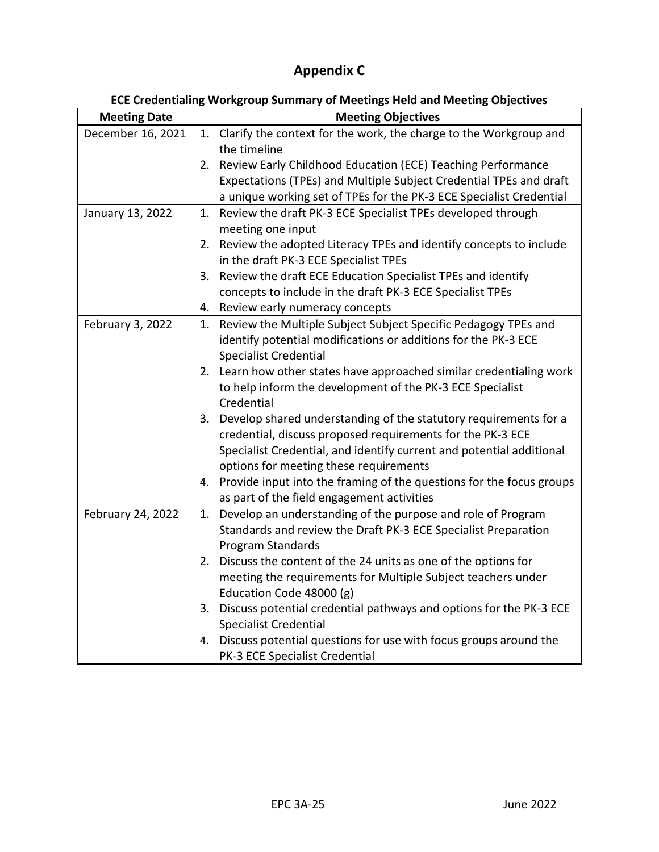# **Appendix C**

<span id="page-25-0"></span>

| ECE Credentialing workgroup Summary of Meetings Heid and Meeting Objectives |                                                                         |  |
|-----------------------------------------------------------------------------|-------------------------------------------------------------------------|--|
| <b>Meeting Date</b>                                                         | <b>Meeting Objectives</b>                                               |  |
| December 16, 2021                                                           | 1. Clarify the context for the work, the charge to the Workgroup and    |  |
|                                                                             | the timeline                                                            |  |
|                                                                             | 2. Review Early Childhood Education (ECE) Teaching Performance          |  |
|                                                                             | Expectations (TPEs) and Multiple Subject Credential TPEs and draft      |  |
|                                                                             | a unique working set of TPEs for the PK-3 ECE Specialist Credential     |  |
| January 13, 2022                                                            | 1. Review the draft PK-3 ECE Specialist TPEs developed through          |  |
|                                                                             | meeting one input                                                       |  |
|                                                                             | 2. Review the adopted Literacy TPEs and identify concepts to include    |  |
|                                                                             | in the draft PK-3 ECE Specialist TPEs                                   |  |
|                                                                             | Review the draft ECE Education Specialist TPEs and identify<br>3.       |  |
|                                                                             | concepts to include in the draft PK-3 ECE Specialist TPEs               |  |
|                                                                             | 4. Review early numeracy concepts                                       |  |
| February 3, 2022                                                            | 1. Review the Multiple Subject Subject Specific Pedagogy TPEs and       |  |
|                                                                             | identify potential modifications or additions for the PK-3 ECE          |  |
|                                                                             | Specialist Credential                                                   |  |
|                                                                             | 2. Learn how other states have approached similar credentialing work    |  |
|                                                                             | to help inform the development of the PK-3 ECE Specialist               |  |
|                                                                             | Credential                                                              |  |
|                                                                             | 3. Develop shared understanding of the statutory requirements for a     |  |
|                                                                             | credential, discuss proposed requirements for the PK-3 ECE              |  |
|                                                                             | Specialist Credential, and identify current and potential additional    |  |
|                                                                             | options for meeting these requirements                                  |  |
|                                                                             | 4. Provide input into the framing of the questions for the focus groups |  |
|                                                                             | as part of the field engagement activities                              |  |
| February 24, 2022                                                           | Develop an understanding of the purpose and role of Program<br>1.       |  |
|                                                                             | Standards and review the Draft PK-3 ECE Specialist Preparation          |  |
|                                                                             | Program Standards                                                       |  |
|                                                                             | Discuss the content of the 24 units as one of the options for<br>2.     |  |
|                                                                             | meeting the requirements for Multiple Subject teachers under            |  |
|                                                                             | Education Code 48000 (g)                                                |  |
|                                                                             | 3. Discuss potential credential pathways and options for the PK-3 ECE   |  |
|                                                                             | <b>Specialist Credential</b>                                            |  |
|                                                                             | 4. Discuss potential questions for use with focus groups around the     |  |
|                                                                             | PK-3 ECE Specialist Credential                                          |  |

### **ECE Credentialing Workgroup Summary of Meetings Held and Meeting Objectives**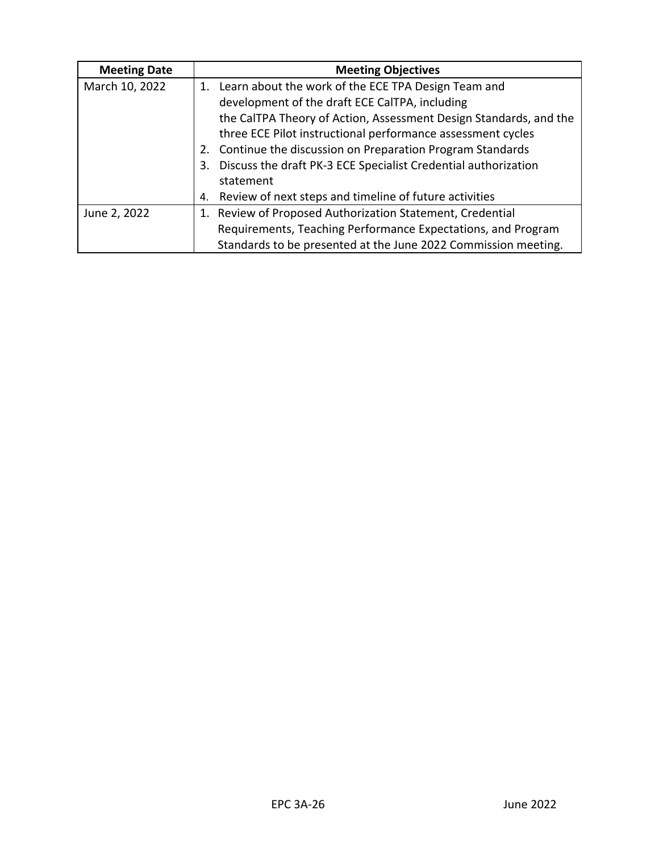| <b>Meeting Date</b> | <b>Meeting Objectives</b>                                            |
|---------------------|----------------------------------------------------------------------|
| March 10, 2022      | Learn about the work of the ECE TPA Design Team and<br>1.            |
|                     | development of the draft ECE CalTPA, including                       |
|                     | the CalTPA Theory of Action, Assessment Design Standards, and the    |
|                     | three ECE Pilot instructional performance assessment cycles          |
|                     | Continue the discussion on Preparation Program Standards             |
|                     | Discuss the draft PK-3 ECE Specialist Credential authorization<br>3. |
|                     | statement                                                            |
|                     | Review of next steps and timeline of future activities<br>4.         |
| June 2, 2022        | Review of Proposed Authorization Statement, Credential               |
|                     | Requirements, Teaching Performance Expectations, and Program         |
|                     | Standards to be presented at the June 2022 Commission meeting.       |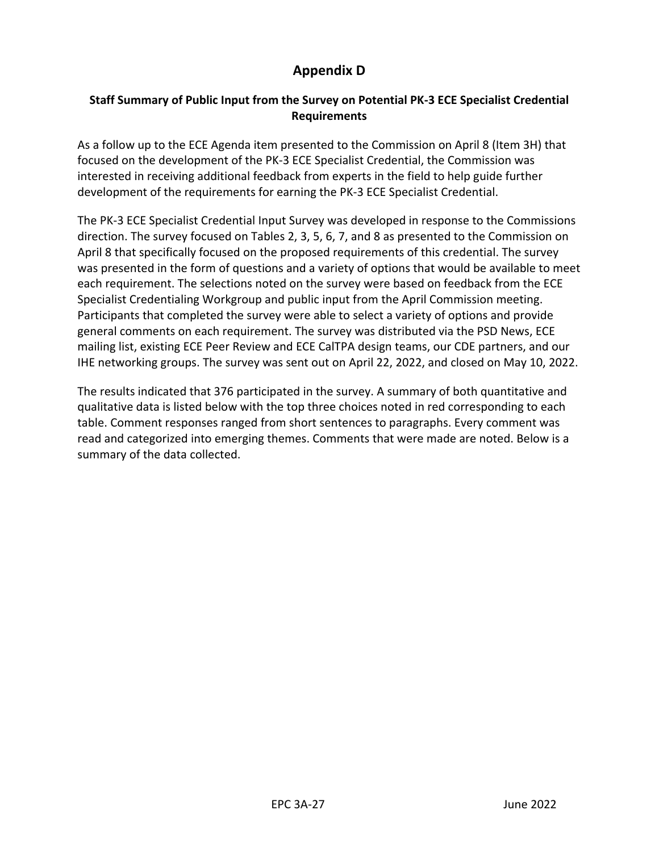### **Appendix D**

### <span id="page-27-0"></span>**Staff Summary of Public Input from the Survey on Potential PK-3 ECE Specialist Credential Requirements**

As a follow up to the ECE Agenda item presented to the Commission on April 8 (Item 3H) that focused on the development of the PK-3 ECE Specialist Credential, the Commission was interested in receiving additional feedback from experts in the field to help guide further development of the requirements for earning the PK-3 ECE Specialist Credential.

The PK-3 ECE Specialist Credential Input Survey was developed in response to the Commissions direction. The survey focused on Tables 2, 3, 5, 6, 7, and 8 as presented to the Commission on April 8 that specifically focused on the proposed requirements of this credential. The survey was presented in the form of questions and a variety of options that would be available to meet each requirement. The selections noted on the survey were based on feedback from the ECE Specialist Credentialing Workgroup and public input from the April Commission meeting. Participants that completed the survey were able to select a variety of options and provide general comments on each requirement. The survey was distributed via the PSD News, ECE mailing list, existing ECE Peer Review and ECE CalTPA design teams, our CDE partners, and our IHE networking groups. The survey was sent out on April 22, 2022, and closed on May 10, 2022.

The results indicated that 376 participated in the survey. A summary of both quantitative and qualitative data is listed below with the top three choices noted in red corresponding to each table. Comment responses ranged from short sentences to paragraphs. Every comment was read and categorized into emerging themes. Comments that were made are noted. Below is a summary of the data collected.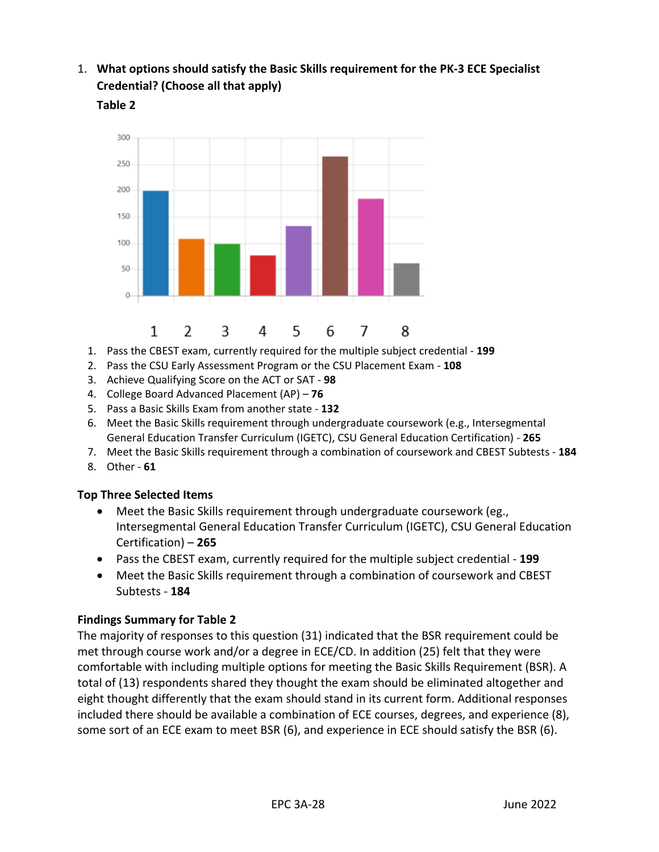1. **What options should satisfy the Basic Skills requirement for the PK-3 ECE Specialist Credential? (Choose all that apply)**





- 1. Pass the CBEST exam, currently required for the multiple subject credential **199**
- 2. Pass the CSU Early Assessment Program or the CSU Placement Exam **108**
- 3. Achieve Qualifying Score on the ACT or SAT **98**
- 4. College Board Advanced Placement (AP) **76**
- 5. Pass a Basic Skills Exam from another state **132**
- 6. Meet the Basic Skills requirement through undergraduate coursework (e.g., Intersegmental General Education Transfer Curriculum (IGETC), CSU General Education Certification) - **265**
- 7. Meet the Basic Skills requirement through a combination of coursework and CBEST Subtests **184**
- 8. Other **61**

### **Top Three Selected Items**

- Meet the Basic Skills requirement through undergraduate coursework (eg., Intersegmental General Education Transfer Curriculum (IGETC), CSU General Education Certification) – **265**
- Pass the CBEST exam, currently required for the multiple subject credential **199**
- Meet the Basic Skills requirement through a combination of coursework and CBEST Subtests - **184**

### **Findings Summary for Table 2**

The majority of responses to this question (31) indicated that the BSR requirement could be met through course work and/or a degree in ECE/CD. In addition (25) felt that they were comfortable with including multiple options for meeting the Basic Skills Requirement (BSR). A total of (13) respondents shared they thought the exam should be eliminated altogether and eight thought differently that the exam should stand in its current form. Additional responses included there should be available a combination of ECE courses, degrees, and experience (8), some sort of an ECE exam to meet BSR (6), and experience in ECE should satisfy the BSR (6).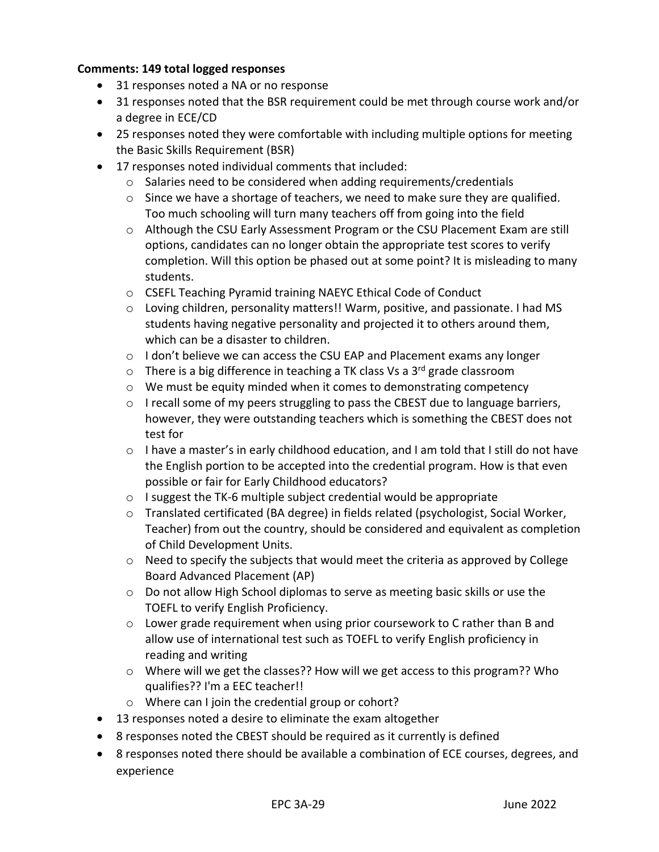### **Comments: 149 total logged responses**

- 31 responses noted a NA or no response
- 31 responses noted that the BSR requirement could be met through course work and/or a degree in ECE/CD
- 25 responses noted they were comfortable with including multiple options for meeting the Basic Skills Requirement (BSR)
- 17 responses noted individual comments that included:
	- o Salaries need to be considered when adding requirements/credentials
	- $\circ$  Since we have a shortage of teachers, we need to make sure they are qualified. Too much schooling will turn many teachers off from going into the field
	- o Although the CSU Early Assessment Program or the CSU Placement Exam are still options, candidates can no longer obtain the appropriate test scores to verify completion. Will this option be phased out at some point? It is misleading to many students.
	- o CSEFL Teaching Pyramid training NAEYC Ethical Code of Conduct
	- $\circ$  Loving children, personality matters!! Warm, positive, and passionate. I had MS students having negative personality and projected it to others around them, which can be a disaster to children.
	- $\circ$  I don't believe we can access the CSU EAP and Placement exams any longer
	- $\circ$  There is a big difference in teaching a TK class Vs a 3<sup>rd</sup> grade classroom
	- $\circ$  We must be equity minded when it comes to demonstrating competency
	- o I recall some of my peers struggling to pass the CBEST due to language barriers, however, they were outstanding teachers which is something the CBEST does not test for
	- $\circ$  I have a master's in early childhood education, and I am told that I still do not have the English portion to be accepted into the credential program. How is that even possible or fair for Early Childhood educators?
	- o I suggest the TK-6 multiple subject credential would be appropriate
	- o Translated certificated (BA degree) in fields related (psychologist, Social Worker, Teacher) from out the country, should be considered and equivalent as completion of Child Development Units.
	- o Need to specify the subjects that would meet the criteria as approved by College Board Advanced Placement (AP)
	- $\circ$  Do not allow High School diplomas to serve as meeting basic skills or use the TOEFL to verify English Proficiency.
	- $\circ$  Lower grade requirement when using prior coursework to C rather than B and allow use of international test such as TOEFL to verify English proficiency in reading and writing
	- $\circ$  Where will we get the classes?? How will we get access to this program?? Who qualifies?? I'm a EEC teacher!!
	- o Where can I join the credential group or cohort?
- 13 responses noted a desire to eliminate the exam altogether
- 8 responses noted the CBEST should be required as it currently is defined
- 8 responses noted there should be available a combination of ECE courses, degrees, and experience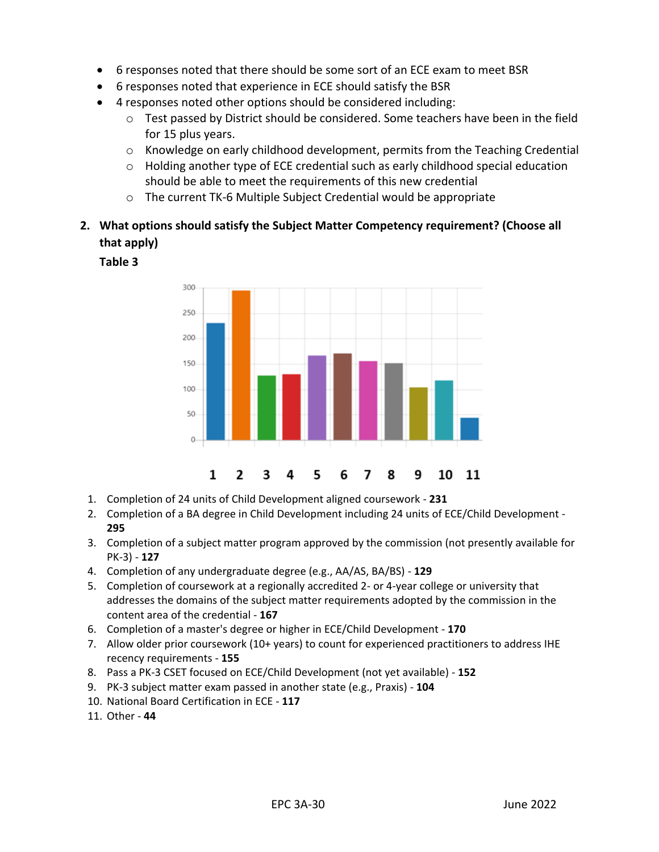- 6 responses noted that there should be some sort of an ECE exam to meet BSR
- 6 responses noted that experience in ECE should satisfy the BSR
- 4 responses noted other options should be considered including:
	- o Test passed by District should be considered. Some teachers have been in the field for 15 plus years.
	- o Knowledge on early childhood development, permits from the Teaching Credential
	- $\circ$  Holding another type of ECE credential such as early childhood special education should be able to meet the requirements of this new credential
	- o The current TK-6 Multiple Subject Credential would be appropriate
- **2. What options should satisfy the Subject Matter Competency requirement? (Choose all that apply)**

### **Table 3**



- 1. Completion of 24 units of Child Development aligned coursework **231**
- 2. Completion of a BA degree in Child Development including 24 units of ECE/Child Development **295**
- 3. Completion of a subject matter program approved by the commission (not presently available for PK-3) - **127**
- 4. Completion of any undergraduate degree (e.g., AA/AS, BA/BS) **129**
- 5. Completion of coursework at a regionally accredited 2- or 4-year college or university that addresses the domains of the subject matter requirements adopted by the commission in the content area of the credential - **167**
- 6. Completion of a master's degree or higher in ECE/Child Development **170**
- 7. Allow older prior coursework (10+ years) to count for experienced practitioners to address IHE recency requirements - **155**
- 8. Pass a PK-3 CSET focused on ECE/Child Development (not yet available) **152**
- 9. PK-3 subject matter exam passed in another state (e.g., Praxis) **104**
- 10. National Board Certification in ECE **117**
- 11. Other **44**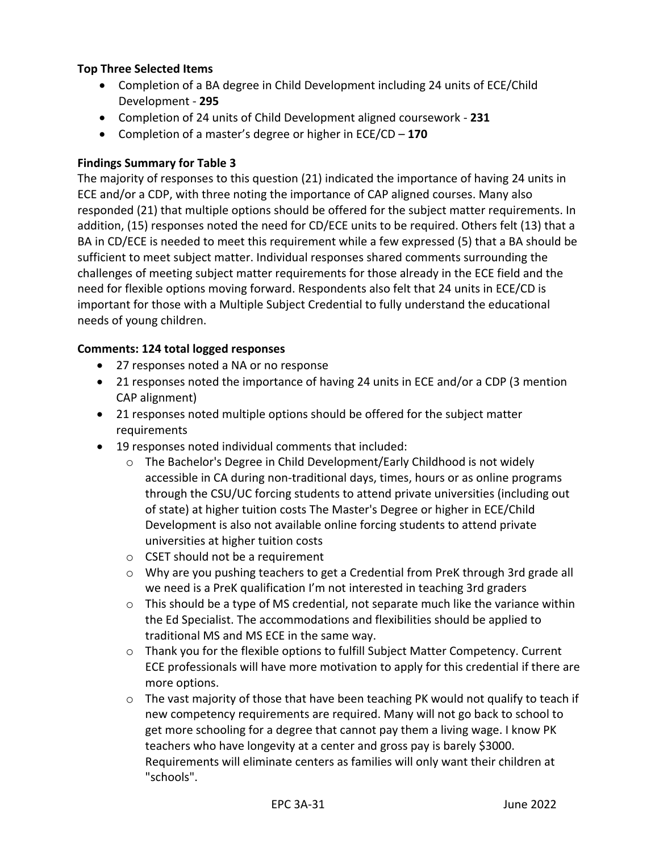### **Top Three Selected Items**

- Completion of a BA degree in Child Development including 24 units of ECE/Child Development - **295**
- Completion of 24 units of Child Development aligned coursework **231**
- Completion of a master's degree or higher in ECE/CD **170**

### **Findings Summary for Table 3**

The majority of responses to this question (21) indicated the importance of having 24 units in ECE and/or a CDP, with three noting the importance of CAP aligned courses. Many also responded (21) that multiple options should be offered for the subject matter requirements. In addition, (15) responses noted the need for CD/ECE units to be required. Others felt (13) that a BA in CD/ECE is needed to meet this requirement while a few expressed (5) that a BA should be sufficient to meet subject matter. Individual responses shared comments surrounding the challenges of meeting subject matter requirements for those already in the ECE field and the need for flexible options moving forward. Respondents also felt that 24 units in ECE/CD is important for those with a Multiple Subject Credential to fully understand the educational needs of young children.

### **Comments: 124 total logged responses**

- 27 responses noted a NA or no response
- 21 responses noted the importance of having 24 units in ECE and/or a CDP (3 mention CAP alignment)
- 21 responses noted multiple options should be offered for the subject matter requirements
- 19 responses noted individual comments that included:
	- $\circ$  The Bachelor's Degree in Child Development/Early Childhood is not widely accessible in CA during non-traditional days, times, hours or as online programs through the CSU/UC forcing students to attend private universities (including out of state) at higher tuition costs The Master's Degree or higher in ECE/Child Development is also not available online forcing students to attend private universities at higher tuition costs
	- o CSET should not be a requirement
	- $\circ$  Why are you pushing teachers to get a Credential from PreK through 3rd grade all we need is a PreK qualification I'm not interested in teaching 3rd graders
	- $\circ$  This should be a type of MS credential, not separate much like the variance within the Ed Specialist. The accommodations and flexibilities should be applied to traditional MS and MS ECE in the same way.
	- o Thank you for the flexible options to fulfill Subject Matter Competency. Current ECE professionals will have more motivation to apply for this credential if there are more options.
	- $\circ$  The vast majority of those that have been teaching PK would not qualify to teach if new competency requirements are required. Many will not go back to school to get more schooling for a degree that cannot pay them a living wage. I know PK teachers who have longevity at a center and gross pay is barely \$3000. Requirements will eliminate centers as families will only want their children at "schools".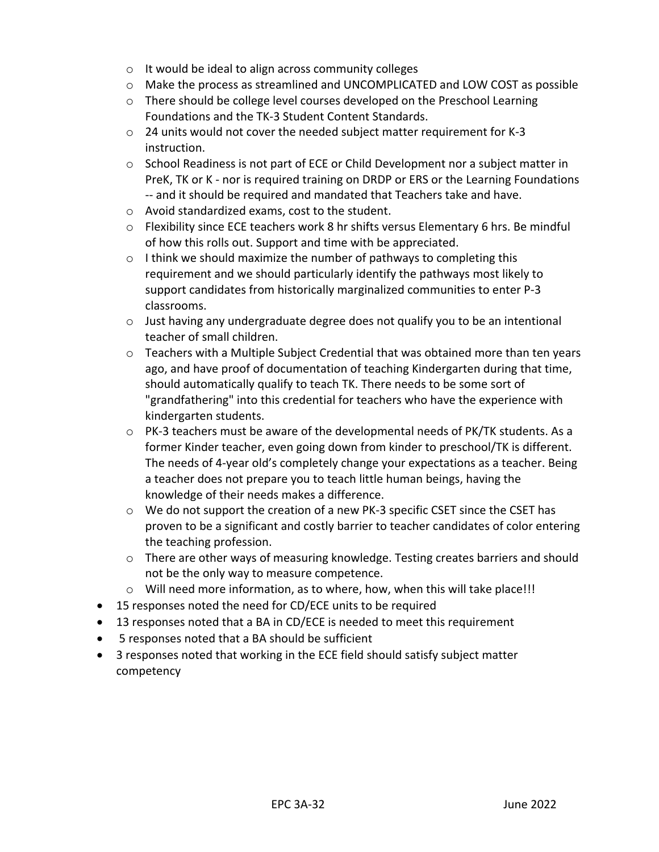- o It would be ideal to align across community colleges
- o Make the process as streamlined and UNCOMPLICATED and LOW COST as possible
- o There should be college level courses developed on the Preschool Learning Foundations and the TK-3 Student Content Standards.
- o 24 units would not cover the needed subject matter requirement for K-3 instruction.
- $\circ$  School Readiness is not part of ECE or Child Development nor a subject matter in PreK, TK or K - nor is required training on DRDP or ERS or the Learning Foundations -- and it should be required and mandated that Teachers take and have.
- o Avoid standardized exams, cost to the student.
- $\circ$  Flexibility since ECE teachers work 8 hr shifts versus Elementary 6 hrs. Be mindful of how this rolls out. Support and time with be appreciated.
- $\circ$  I think we should maximize the number of pathways to completing this requirement and we should particularly identify the pathways most likely to support candidates from historically marginalized communities to enter P-3 classrooms.
- o Just having any undergraduate degree does not qualify you to be an intentional teacher of small children.
- $\circ$  Teachers with a Multiple Subject Credential that was obtained more than ten years ago, and have proof of documentation of teaching Kindergarten during that time, should automatically qualify to teach TK. There needs to be some sort of "grandfathering" into this credential for teachers who have the experience with kindergarten students.
- o PK-3 teachers must be aware of the developmental needs of PK/TK students. As a former Kinder teacher, even going down from kinder to preschool/TK is different. The needs of 4-year old's completely change your expectations as a teacher. Being a teacher does not prepare you to teach little human beings, having the knowledge of their needs makes a difference.
- $\circ$  We do not support the creation of a new PK-3 specific CSET since the CSET has proven to be a significant and costly barrier to teacher candidates of color entering the teaching profession.
- o There are other ways of measuring knowledge. Testing creates barriers and should not be the only way to measure competence.
- o Will need more information, as to where, how, when this will take place!!!
- 15 responses noted the need for CD/ECE units to be required
- 13 responses noted that a BA in CD/ECE is needed to meet this requirement
- 5 responses noted that a BA should be sufficient
- 3 responses noted that working in the ECE field should satisfy subject matter competency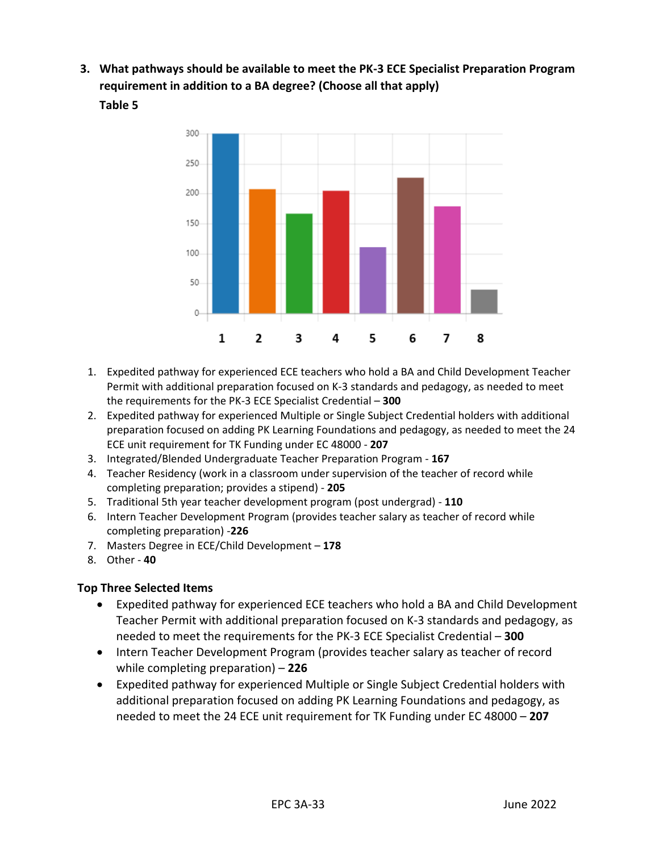**3. What pathways should be available to meet the PK-3 ECE Specialist Preparation Program requirement in addition to a BA degree? (Choose all that apply)**





- 1. Expedited pathway for experienced ECE teachers who hold a BA and Child Development Teacher Permit with additional preparation focused on K-3 standards and pedagogy, as needed to meet the requirements for the PK-3 ECE Specialist Credential – **300**
- 2. Expedited pathway for experienced Multiple or Single Subject Credential holders with additional preparation focused on adding PK Learning Foundations and pedagogy, as needed to meet the 24 ECE unit requirement for TK Funding under EC 48000 - **207**
- 3. Integrated/Blended Undergraduate Teacher Preparation Program **167**
- 4. Teacher Residency (work in a classroom under supervision of the teacher of record while completing preparation; provides a stipend) - **205**
- 5. Traditional 5th year teacher development program (post undergrad) **110**
- 6. Intern Teacher Development Program (provides teacher salary as teacher of record while completing preparation) -**226**
- 7. Masters Degree in ECE/Child Development **178**
- 8. Other **40**

### **Top Three Selected Items**

- Expedited pathway for experienced ECE teachers who hold a BA and Child Development Teacher Permit with additional preparation focused on K-3 standards and pedagogy, as needed to meet the requirements for the PK-3 ECE Specialist Credential – **300**
- Intern Teacher Development Program (provides teacher salary as teacher of record while completing preparation) – **226**
- Expedited pathway for experienced Multiple or Single Subject Credential holders with additional preparation focused on adding PK Learning Foundations and pedagogy, as needed to meet the 24 ECE unit requirement for TK Funding under EC 48000 – **207**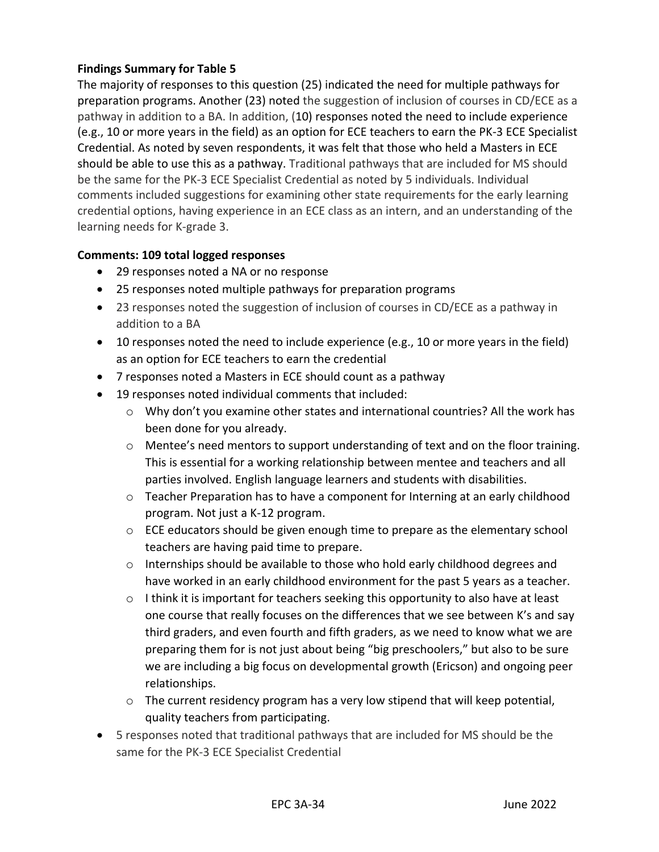### **Findings Summary for Table 5**

The majority of responses to this question (25) indicated the need for multiple pathways for preparation programs. Another (23) noted the suggestion of inclusion of courses in CD/ECE as a pathway in addition to a BA. In addition, (10) responses noted the need to include experience (e.g., 10 or more years in the field) as an option for ECE teachers to earn the PK-3 ECE Specialist Credential. As noted by seven respondents, it was felt that those who held a Masters in ECE should be able to use this as a pathway. Traditional pathways that are included for MS should be the same for the PK-3 ECE Specialist Credential as noted by 5 individuals. Individual comments included suggestions for examining other state requirements for the early learning credential options, having experience in an ECE class as an intern, and an understanding of the learning needs for K-grade 3.

### **Comments: 109 total logged responses**

- 29 responses noted a NA or no response
- 25 responses noted multiple pathways for preparation programs
- 23 responses noted the suggestion of inclusion of courses in CD/ECE as a pathway in addition to a BA
- 10 responses noted the need to include experience (e.g., 10 or more years in the field) as an option for ECE teachers to earn the credential
- 7 responses noted a Masters in ECE should count as a pathway
- 19 responses noted individual comments that included:
	- $\circ$  Why don't you examine other states and international countries? All the work has been done for you already.
	- $\circ$  Mentee's need mentors to support understanding of text and on the floor training. This is essential for a working relationship between mentee and teachers and all parties involved. English language learners and students with disabilities.
	- o Teacher Preparation has to have a component for Interning at an early childhood program. Not just a K-12 program.
	- $\circ$  ECE educators should be given enough time to prepare as the elementary school teachers are having paid time to prepare.
	- $\circ$  Internships should be available to those who hold early childhood degrees and have worked in an early childhood environment for the past 5 years as a teacher.
	- $\circ$  I think it is important for teachers seeking this opportunity to also have at least one course that really focuses on the differences that we see between K's and say third graders, and even fourth and fifth graders, as we need to know what we are preparing them for is not just about being "big preschoolers," but also to be sure we are including a big focus on developmental growth (Ericson) and ongoing peer relationships.
	- o The current residency program has a very low stipend that will keep potential, quality teachers from participating.
- 5 responses noted that traditional pathways that are included for MS should be the same for the PK-3 ECE Specialist Credential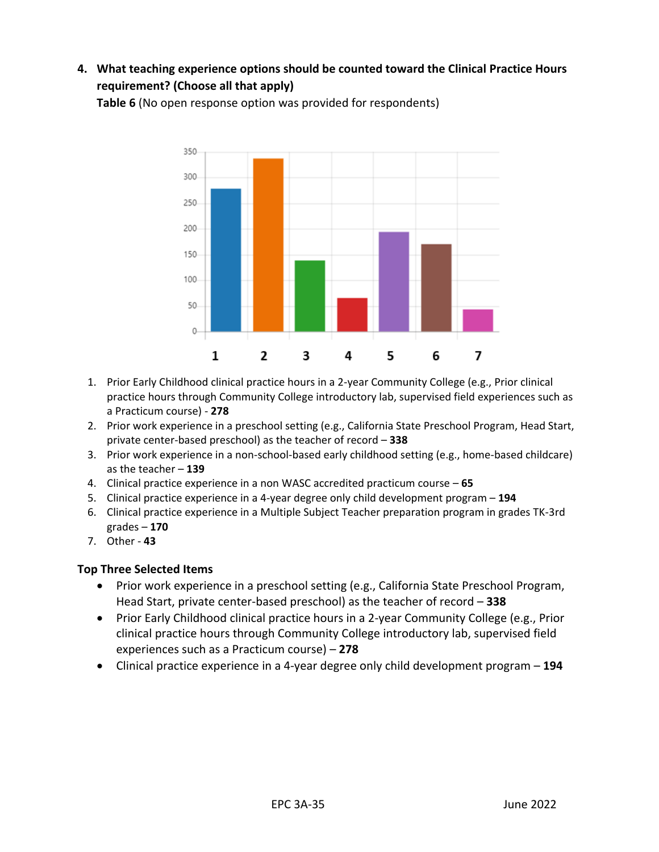### **4. What teaching experience options should be counted toward the Clinical Practice Hours requirement? (Choose all that apply)**

**Table 6** (No open response option was provided for respondents)



- 1. Prior Early Childhood clinical practice hours in a 2-year Community College (e.g., Prior clinical practice hours through Community College introductory lab, supervised field experiences such as a Practicum course) - **278**
- 2. Prior work experience in a preschool setting (e.g., California State Preschool Program, Head Start, private center-based preschool) as the teacher of record – **338**
- 3. Prior work experience in a non-school-based early childhood setting (e.g., home-based childcare) as the teacher – **139**
- 4. Clinical practice experience in a non WASC accredited practicum course **65**
- 5. Clinical practice experience in a 4-year degree only child development program **194**
- 6. Clinical practice experience in a Multiple Subject Teacher preparation program in grades TK-3rd grades – **170**
- 7. Other **43**

### **Top Three Selected Items**

- Prior work experience in a preschool setting (e.g., California State Preschool Program, Head Start, private center-based preschool) as the teacher of record – **338**
- Prior Early Childhood clinical practice hours in a 2-year Community College (e.g., Prior clinical practice hours through Community College introductory lab, supervised field experiences such as a Practicum course) – **278**
- Clinical practice experience in a 4-year degree only child development program **194**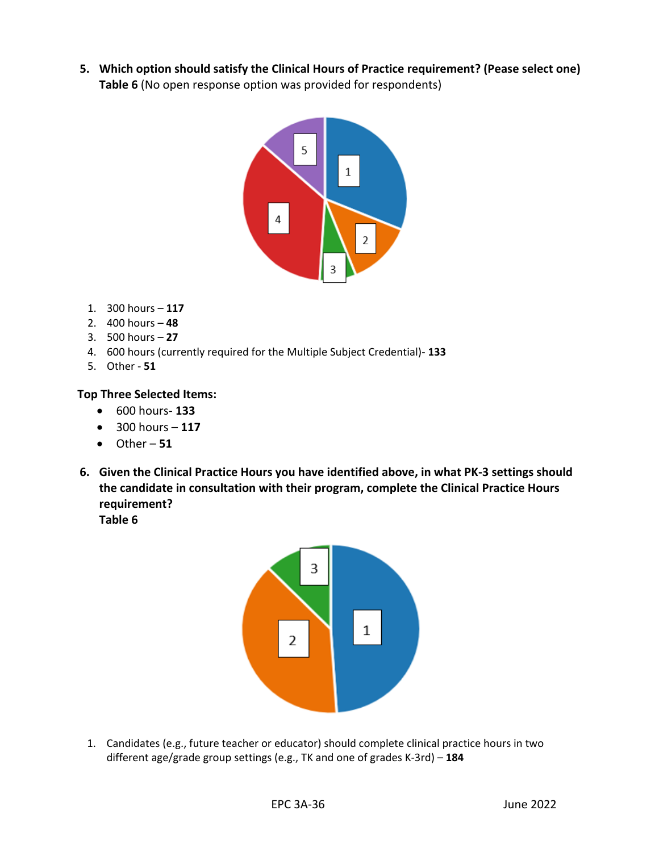**5. Which option should satisfy the Clinical Hours of Practice requirement? (Pease select one) Table 6** (No open response option was provided for respondents)



- 1. 300 hours **117**
- 2. 400 hours **48**
- 3. 500 hours **27**
- 4. 600 hours (currently required for the Multiple Subject Credential)- **133**
- 5. Other **51**

### **Top Three Selected Items:**

- 600 hours- **133**
- 300 hours **117**
- Other **51**
- **6. Given the Clinical Practice Hours you have identified above, in what PK-3 settings should the candidate in consultation with their program, complete the Clinical Practice Hours requirement?**

**Table 6**



1. Candidates (e.g., future teacher or educator) should complete clinical practice hours in two different age/grade group settings (e.g., TK and one of grades K-3rd) – **184**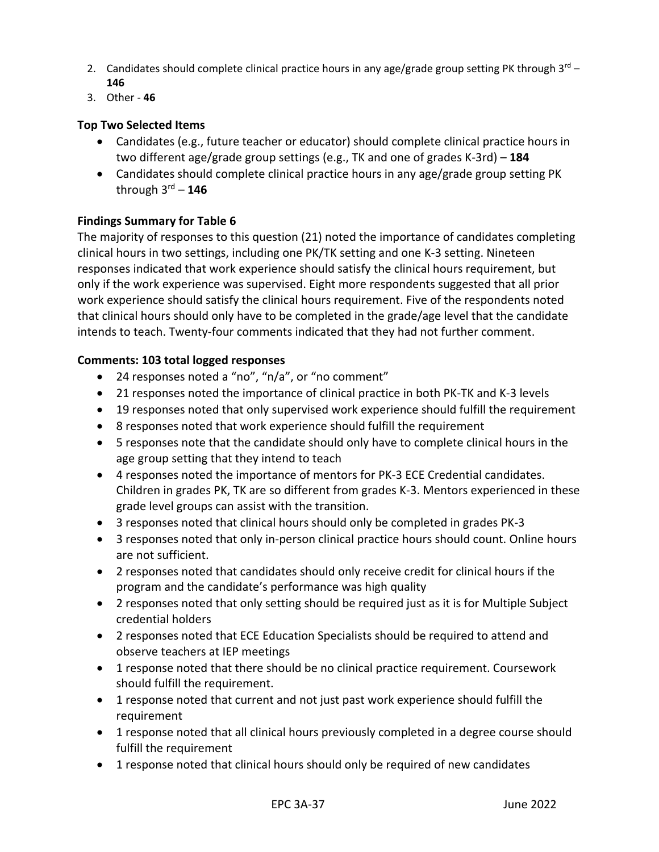- 2. Candidates should complete clinical practice hours in any age/grade group setting PK through  $3^{rd}$  **146**
- 3. Other **46**

### **Top Two Selected Items**

- Candidates (e.g., future teacher or educator) should complete clinical practice hours in two different age/grade group settings (e.g., TK and one of grades K-3rd) – **184**
- Candidates should complete clinical practice hours in any age/grade group setting PK through 3rd – **146**

### **Findings Summary for Table 6**

The majority of responses to this question (21) noted the importance of candidates completing clinical hours in two settings, including one PK/TK setting and one K-3 setting. Nineteen responses indicated that work experience should satisfy the clinical hours requirement, but only if the work experience was supervised. Eight more respondents suggested that all prior work experience should satisfy the clinical hours requirement. Five of the respondents noted that clinical hours should only have to be completed in the grade/age level that the candidate intends to teach. Twenty-four comments indicated that they had not further comment.

### **Comments: 103 total logged responses**

- 24 responses noted a "no", "n/a", or "no comment"
- 21 responses noted the importance of clinical practice in both PK-TK and K-3 levels
- 19 responses noted that only supervised work experience should fulfill the requirement
- 8 responses noted that work experience should fulfill the requirement
- 5 responses note that the candidate should only have to complete clinical hours in the age group setting that they intend to teach
- 4 responses noted the importance of mentors for PK-3 ECE Credential candidates. Children in grades PK, TK are so different from grades K-3. Mentors experienced in these grade level groups can assist with the transition.
- 3 responses noted that clinical hours should only be completed in grades PK-3
- 3 responses noted that only in-person clinical practice hours should count. Online hours are not sufficient.
- 2 responses noted that candidates should only receive credit for clinical hours if the program and the candidate's performance was high quality
- 2 responses noted that only setting should be required just as it is for Multiple Subject credential holders
- 2 responses noted that ECE Education Specialists should be required to attend and observe teachers at IEP meetings
- 1 response noted that there should be no clinical practice requirement. Coursework should fulfill the requirement.
- 1 response noted that current and not just past work experience should fulfill the requirement
- 1 response noted that all clinical hours previously completed in a degree course should fulfill the requirement
- 1 response noted that clinical hours should only be required of new candidates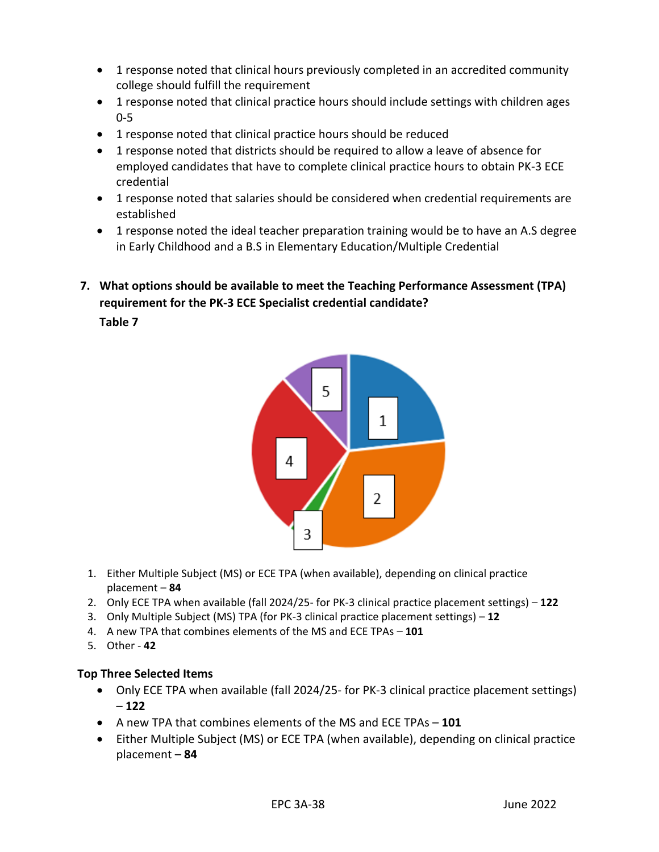- 1 response noted that clinical hours previously completed in an accredited community college should fulfill the requirement
- 1 response noted that clinical practice hours should include settings with children ages 0-5
- 1 response noted that clinical practice hours should be reduced
- 1 response noted that districts should be required to allow a leave of absence for employed candidates that have to complete clinical practice hours to obtain PK-3 ECE credential
- 1 response noted that salaries should be considered when credential requirements are established
- 1 response noted the ideal teacher preparation training would be to have an A.S degree in Early Childhood and a B.S in Elementary Education/Multiple Credential

### **7. What options should be available to meet the Teaching Performance Assessment (TPA) requirement for the PK-3 ECE Specialist credential candidate?**

**Table 7**



- 1. Either Multiple Subject (MS) or ECE TPA (when available), depending on clinical practice placement – **84**
- 2. Only ECE TPA when available (fall 2024/25- for PK-3 clinical practice placement settings) **122**
- 3. Only Multiple Subject (MS) TPA (for PK-3 clinical practice placement settings) **12**
- 4. A new TPA that combines elements of the MS and ECE TPAs **101**
- 5. Other **42**

### **Top Three Selected Items**

- Only ECE TPA when available (fall 2024/25- for PK-3 clinical practice placement settings) – **122**
- A new TPA that combines elements of the MS and ECE TPAs **101**
- Either Multiple Subject (MS) or ECE TPA (when available), depending on clinical practice placement – **84**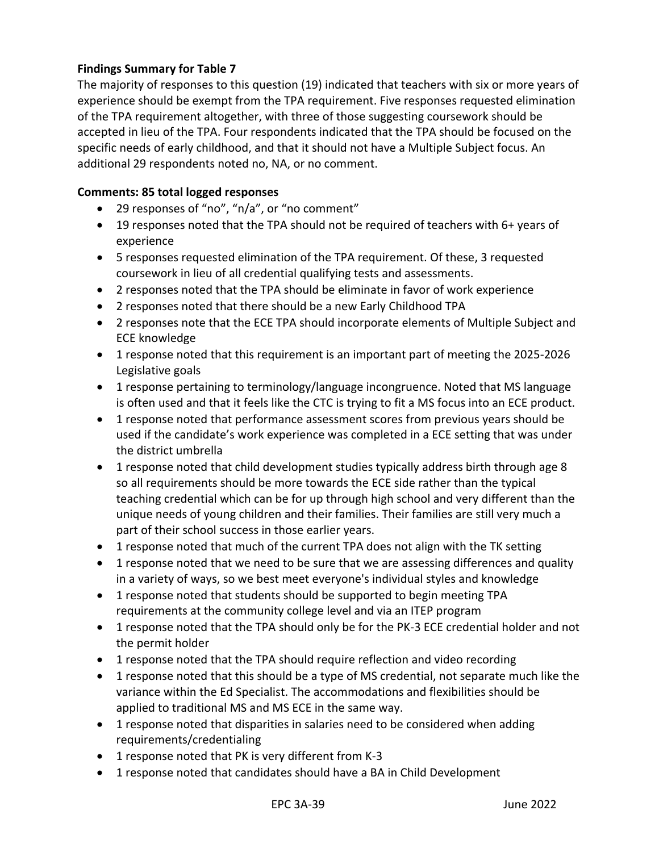### **Findings Summary for Table 7**

The majority of responses to this question (19) indicated that teachers with six or more years of experience should be exempt from the TPA requirement. Five responses requested elimination of the TPA requirement altogether, with three of those suggesting coursework should be accepted in lieu of the TPA. Four respondents indicated that the TPA should be focused on the specific needs of early childhood, and that it should not have a Multiple Subject focus. An additional 29 respondents noted no, NA, or no comment.

### **Comments: 85 total logged responses**

- 29 responses of "no", "n/a", or "no comment"
- 19 responses noted that the TPA should not be required of teachers with 6+ years of experience
- 5 responses requested elimination of the TPA requirement. Of these, 3 requested coursework in lieu of all credential qualifying tests and assessments.
- 2 responses noted that the TPA should be eliminate in favor of work experience
- 2 responses noted that there should be a new Early Childhood TPA
- 2 responses note that the ECE TPA should incorporate elements of Multiple Subject and ECE knowledge
- 1 response noted that this requirement is an important part of meeting the 2025-2026 Legislative goals
- 1 response pertaining to terminology/language incongruence. Noted that MS language is often used and that it feels like the CTC is trying to fit a MS focus into an ECE product.
- 1 response noted that performance assessment scores from previous years should be used if the candidate's work experience was completed in a ECE setting that was under the district umbrella
- 1 response noted that child development studies typically address birth through age 8 so all requirements should be more towards the ECE side rather than the typical teaching credential which can be for up through high school and very different than the unique needs of young children and their families. Their families are still very much a part of their school success in those earlier years.
- 1 response noted that much of the current TPA does not align with the TK setting
- 1 response noted that we need to be sure that we are assessing differences and quality in a variety of ways, so we best meet everyone's individual styles and knowledge
- 1 response noted that students should be supported to begin meeting TPA requirements at the community college level and via an ITEP program
- 1 response noted that the TPA should only be for the PK-3 ECE credential holder and not the permit holder
- 1 response noted that the TPA should require reflection and video recording
- 1 response noted that this should be a type of MS credential, not separate much like the variance within the Ed Specialist. The accommodations and flexibilities should be applied to traditional MS and MS ECE in the same way.
- 1 response noted that disparities in salaries need to be considered when adding requirements/credentialing
- 1 response noted that PK is very different from K-3
- 1 response noted that candidates should have a BA in Child Development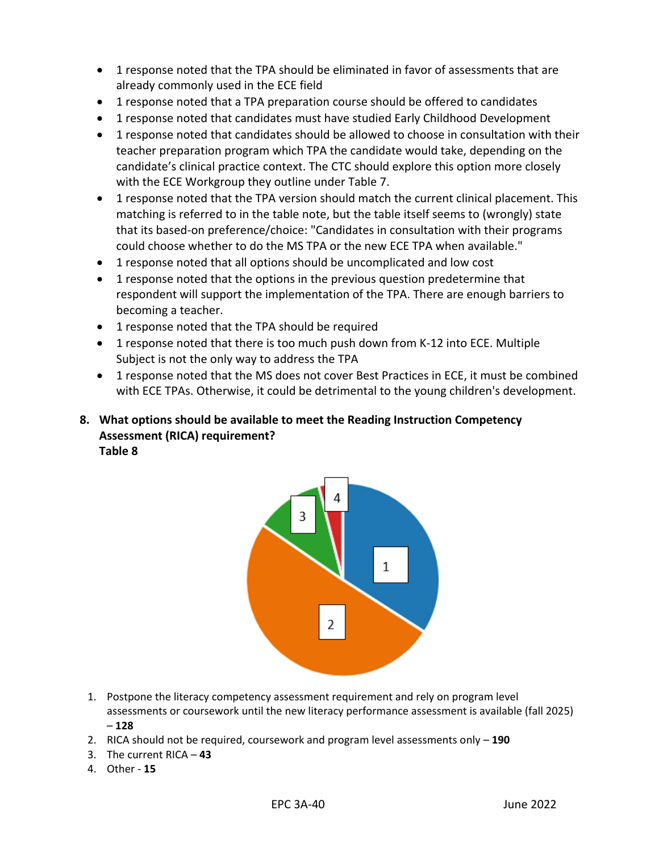- 1 response noted that the TPA should be eliminated in favor of assessments that are already commonly used in the ECE field
- 1 response noted that a TPA preparation course should be offered to candidates
- 1 response noted that candidates must have studied Early Childhood Development
- 1 response noted that candidates should be allowed to choose in consultation with their teacher preparation program which TPA the candidate would take, depending on the candidate's clinical practice context. The CTC should explore this option more closely with the ECE Workgroup they outline under Table 7.
- 1 response noted that the TPA version should match the current clinical placement. This matching is referred to in the table note, but the table itself seems to (wrongly) state that its based-on preference/choice: "Candidates in consultation with their programs could choose whether to do the MS TPA or the new ECE TPA when available."
- 1 response noted that all options should be uncomplicated and low cost
- 1 response noted that the options in the previous question predetermine that respondent will support the implementation of the TPA. There are enough barriers to becoming a teacher.
- 1 response noted that the TPA should be required
- 1 response noted that there is too much push down from K-12 into ECE. Multiple Subject is not the only way to address the TPA
- 1 response noted that the MS does not cover Best Practices in ECE, it must be combined with ECE TPAs. Otherwise, it could be detrimental to the young children's development.
- **8. What options should be available to meet the Reading Instruction Competency Assessment (RICA) requirement? Table 8**



- 1. Postpone the literacy competency assessment requirement and rely on program level assessments or coursework until the new literacy performance assessment is available (fall 2025) – **128**
- 2. RICA should not be required, coursework and program level assessments only **190**
- 3. The current RICA **43**
- 4. Other **15**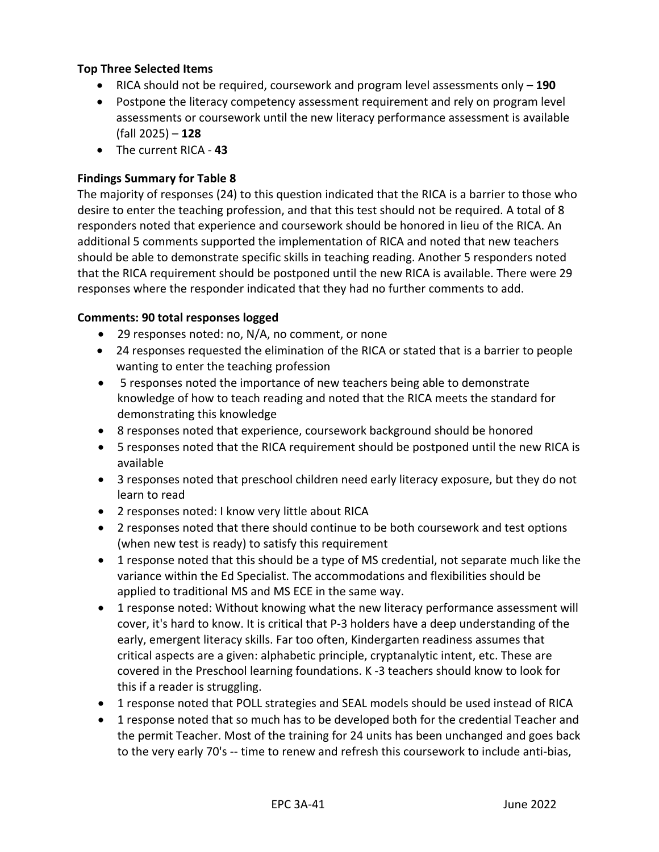### **Top Three Selected Items**

- RICA should not be required, coursework and program level assessments only **190**
- Postpone the literacy competency assessment requirement and rely on program level assessments or coursework until the new literacy performance assessment is available (fall 2025) – **128**
- The current RICA **43**

### **Findings Summary for Table 8**

The majority of responses (24) to this question indicated that the RICA is a barrier to those who desire to enter the teaching profession, and that this test should not be required. A total of 8 responders noted that experience and coursework should be honored in lieu of the RICA. An additional 5 comments supported the implementation of RICA and noted that new teachers should be able to demonstrate specific skills in teaching reading. Another 5 responders noted that the RICA requirement should be postponed until the new RICA is available. There were 29 responses where the responder indicated that they had no further comments to add.

### **Comments: 90 total responses logged**

- 29 responses noted: no, N/A, no comment, or none
- 24 responses requested the elimination of the RICA or stated that is a barrier to people wanting to enter the teaching profession
- 5 responses noted the importance of new teachers being able to demonstrate knowledge of how to teach reading and noted that the RICA meets the standard for demonstrating this knowledge
- 8 responses noted that experience, coursework background should be honored
- 5 responses noted that the RICA requirement should be postponed until the new RICA is available
- 3 responses noted that preschool children need early literacy exposure, but they do not learn to read
- 2 responses noted: I know very little about RICA
- 2 responses noted that there should continue to be both coursework and test options (when new test is ready) to satisfy this requirement
- 1 response noted that this should be a type of MS credential, not separate much like the variance within the Ed Specialist. The accommodations and flexibilities should be applied to traditional MS and MS ECE in the same way.
- 1 response noted: Without knowing what the new literacy performance assessment will cover, it's hard to know. It is critical that P-3 holders have a deep understanding of the early, emergent literacy skills. Far too often, Kindergarten readiness assumes that critical aspects are a given: alphabetic principle, cryptanalytic intent, etc. These are covered in the Preschool learning foundations. K -3 teachers should know to look for this if a reader is struggling.
- 1 response noted that POLL strategies and SEAL models should be used instead of RICA
- 1 response noted that so much has to be developed both for the credential Teacher and the permit Teacher. Most of the training for 24 units has been unchanged and goes back to the very early 70's -- time to renew and refresh this coursework to include anti-bias,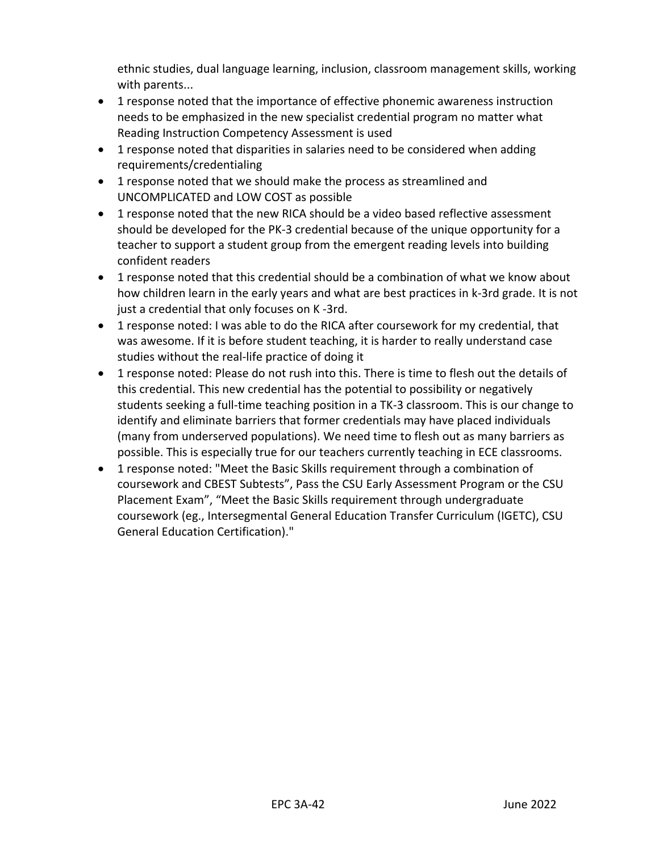ethnic studies, dual language learning, inclusion, classroom management skills, working with parents...

- 1 response noted that the importance of effective phonemic awareness instruction needs to be emphasized in the new specialist credential program no matter what Reading Instruction Competency Assessment is used
- 1 response noted that disparities in salaries need to be considered when adding requirements/credentialing
- 1 response noted that we should make the process as streamlined and UNCOMPLICATED and LOW COST as possible
- 1 response noted that the new RICA should be a video based reflective assessment should be developed for the PK-3 credential because of the unique opportunity for a teacher to support a student group from the emergent reading levels into building confident readers
- 1 response noted that this credential should be a combination of what we know about how children learn in the early years and what are best practices in k-3rd grade. It is not just a credential that only focuses on K -3rd.
- 1 response noted: I was able to do the RICA after coursework for my credential, that was awesome. If it is before student teaching, it is harder to really understand case studies without the real-life practice of doing it
- 1 response noted: Please do not rush into this. There is time to flesh out the details of this credential. This new credential has the potential to possibility or negatively students seeking a full-time teaching position in a TK-3 classroom. This is our change to identify and eliminate barriers that former credentials may have placed individuals (many from underserved populations). We need time to flesh out as many barriers as possible. This is especially true for our teachers currently teaching in ECE classrooms.
- 1 response noted: "Meet the Basic Skills requirement through a combination of coursework and CBEST Subtests", Pass the CSU Early Assessment Program or the CSU Placement Exam", "Meet the Basic Skills requirement through undergraduate coursework (eg., Intersegmental General Education Transfer Curriculum (IGETC), CSU General Education Certification)."